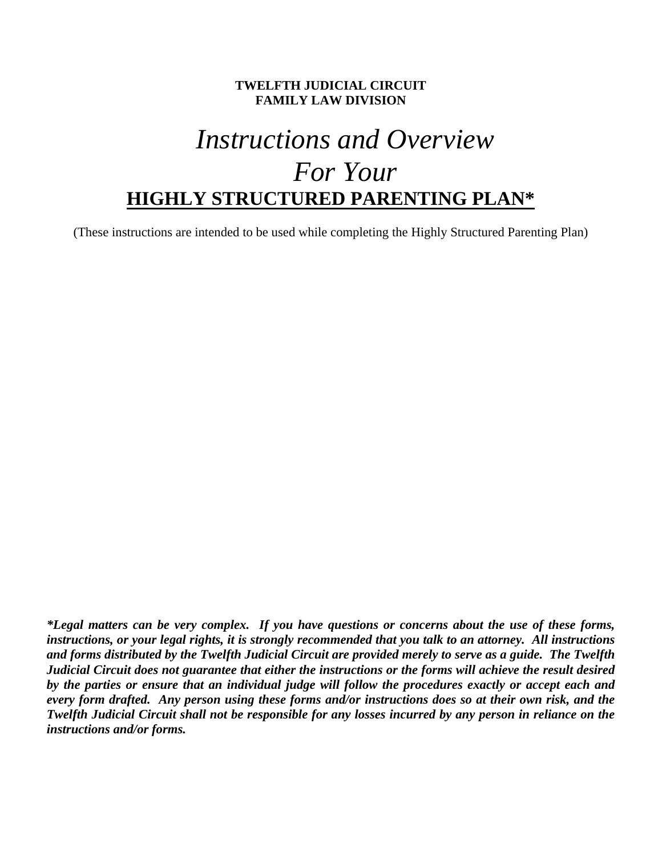### **TWELFTH JUDICIAL CIRCUIT FAMILY LAW DIVISION**

# *Instructions and Overview For Your*  **HIGHLY STRUCTURED PARENTING PLAN\***

(These instructions are intended to be used while completing the Highly Structured Parenting Plan)

*\*Legal matters can be very complex. If you have questions or concerns about the use of these forms, instructions, or your legal rights, it is strongly recommended that you talk to an attorney. All instructions and forms distributed by the Twelfth Judicial Circuit are provided merely to serve as a guide. The Twelfth Judicial Circuit does not guarantee that either the instructions or the forms will achieve the result desired by the parties or ensure that an individual judge will follow the procedures exactly or accept each and every form drafted. Any person using these forms and/or instructions does so at their own risk, and the Twelfth Judicial Circuit shall not be responsible for any losses incurred by any person in reliance on the instructions and/or forms.*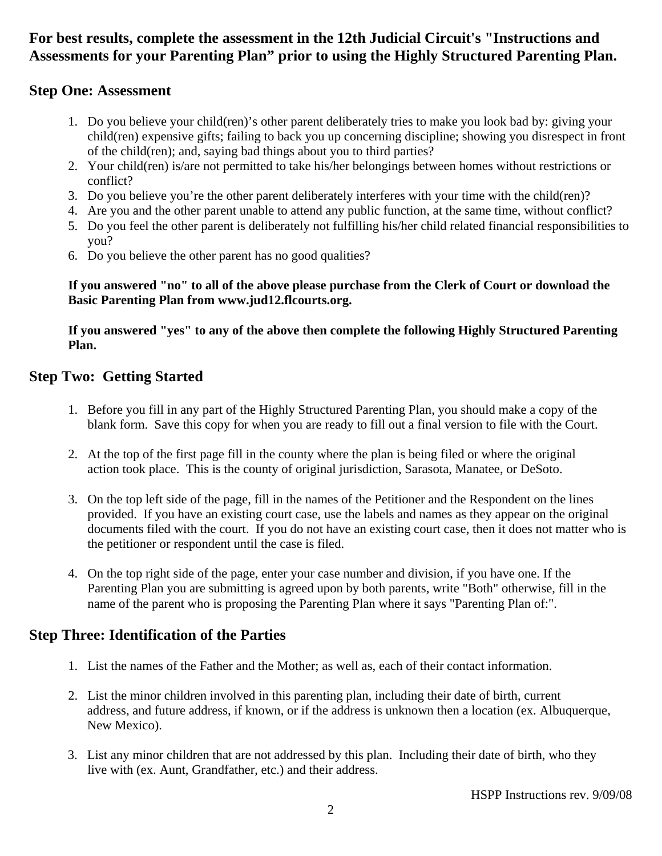## **For best results, complete the assessment in the 12th Judicial Circuit's "Instructions and Assessments for your Parenting Plan" prior to using the Highly Structured Parenting Plan.**

## **Step One: Assessment**

- 1. Do you believe your child(ren)'s other parent deliberately tries to make you look bad by: giving your child(ren) expensive gifts; failing to back you up concerning discipline; showing you disrespect in front of the child(ren); and, saying bad things about you to third parties?
- 2. Your child(ren) is/are not permitted to take his/her belongings between homes without restrictions or conflict?
- 3. Do you believe you're the other parent deliberately interferes with your time with the child(ren)?
- 4. Are you and the other parent unable to attend any public function, at the same time, without conflict?
- 5. Do you feel the other parent is deliberately not fulfilling his/her child related financial responsibilities to you?
- 6. Do you believe the other parent has no good qualities?

### **If you answered "no" to all of the above please purchase from the Clerk of Court or download the Basic Parenting Plan from www.jud12.flcourts.org.**

### **If you answered "yes" to any of the above then complete the following Highly Structured Parenting Plan.**

## **Step Two: Getting Started**

- 1. Before you fill in any part of the Highly Structured Parenting Plan, you should make a copy of the blank form. Save this copy for when you are ready to fill out a final version to file with the Court.
- 2. At the top of the first page fill in the county where the plan is being filed or where the original action took place. This is the county of original jurisdiction, Sarasota, Manatee, or DeSoto.
- 3. On the top left side of the page, fill in the names of the Petitioner and the Respondent on the lines provided. If you have an existing court case, use the labels and names as they appear on the original documents filed with the court. If you do not have an existing court case, then it does not matter who is the petitioner or respondent until the case is filed.
- 4. On the top right side of the page, enter your case number and division, if you have one. If the Parenting Plan you are submitting is agreed upon by both parents, write "Both" otherwise, fill in the name of the parent who is proposing the Parenting Plan where it says "Parenting Plan of:".

## **Step Three: Identification of the Parties**

- 1. List the names of the Father and the Mother; as well as, each of their contact information.
- 2. List the minor children involved in this parenting plan, including their date of birth, current address, and future address, if known, or if the address is unknown then a location (ex. Albuquerque, New Mexico).
- 3. List any minor children that are not addressed by this plan. Including their date of birth, who they live with (ex. Aunt, Grandfather, etc.) and their address.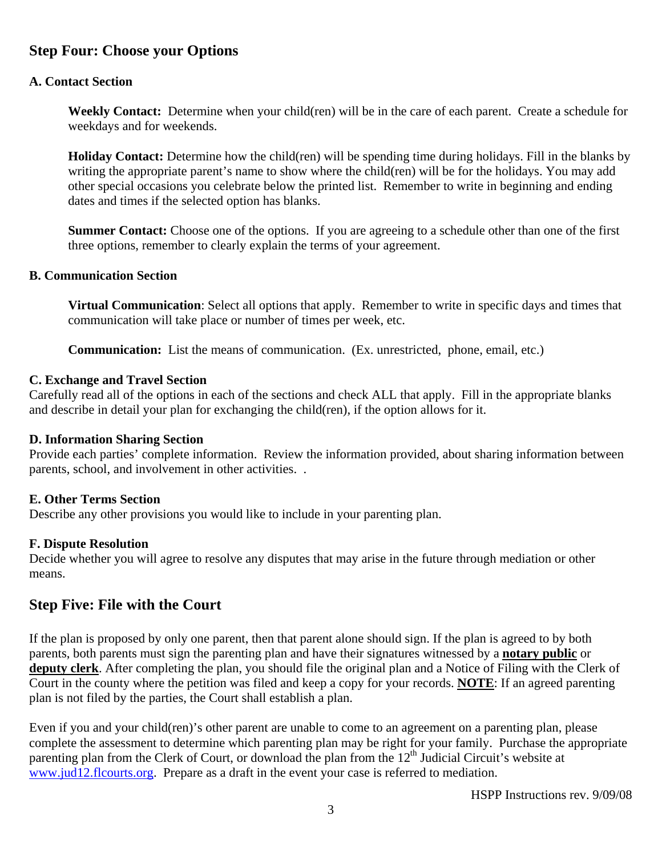## **Step Four: Choose your Options**

### **A. Contact Section**

**Weekly Contact:** Determine when your child(ren) will be in the care of each parent. Create a schedule for weekdays and for weekends.

**Holiday Contact:** Determine how the child(ren) will be spending time during holidays. Fill in the blanks by writing the appropriate parent's name to show where the child(ren) will be for the holidays. You may add other special occasions you celebrate below the printed list. Remember to write in beginning and ending dates and times if the selected option has blanks.

**Summer Contact:** Choose one of the options. If you are agreeing to a schedule other than one of the first three options, remember to clearly explain the terms of your agreement.

#### **B. Communication Section**

**Virtual Communication**: Select all options that apply. Remember to write in specific days and times that communication will take place or number of times per week, etc.

**Communication:** List the means of communication. (Ex. unrestricted, phone, email, etc.)

#### **C. Exchange and Travel Section**

Carefully read all of the options in each of the sections and check ALL that apply. Fill in the appropriate blanks and describe in detail your plan for exchanging the child(ren), if the option allows for it.

#### **D. Information Sharing Section**

Provide each parties' complete information. Review the information provided, about sharing information between parents, school, and involvement in other activities. .

#### **E. Other Terms Section**

Describe any other provisions you would like to include in your parenting plan.

#### **F. Dispute Resolution**

Decide whether you will agree to resolve any disputes that may arise in the future through mediation or other means.

### **Step Five: File with the Court**

If the plan is proposed by only one parent, then that parent alone should sign. If the plan is agreed to by both parents, both parents must sign the parenting plan and have their signatures witnessed by a **notary public** or **deputy clerk**. After completing the plan, you should file the original plan and a Notice of Filing with the Clerk of Court in the county where the petition was filed and keep a copy for your records. **NOTE**: If an agreed parenting plan is not filed by the parties, the Court shall establish a plan.

Even if you and your child(ren)'s other parent are unable to come to an agreement on a parenting plan, please complete the assessment to determine which parenting plan may be right for your family. Purchase the appropriate parenting plan from the Clerk of Court, or download the plan from the  $12<sup>th</sup>$  Judicial Circuit's website at www.jud12.flcourts.org. Prepare as a draft in the event your case is referred to mediation.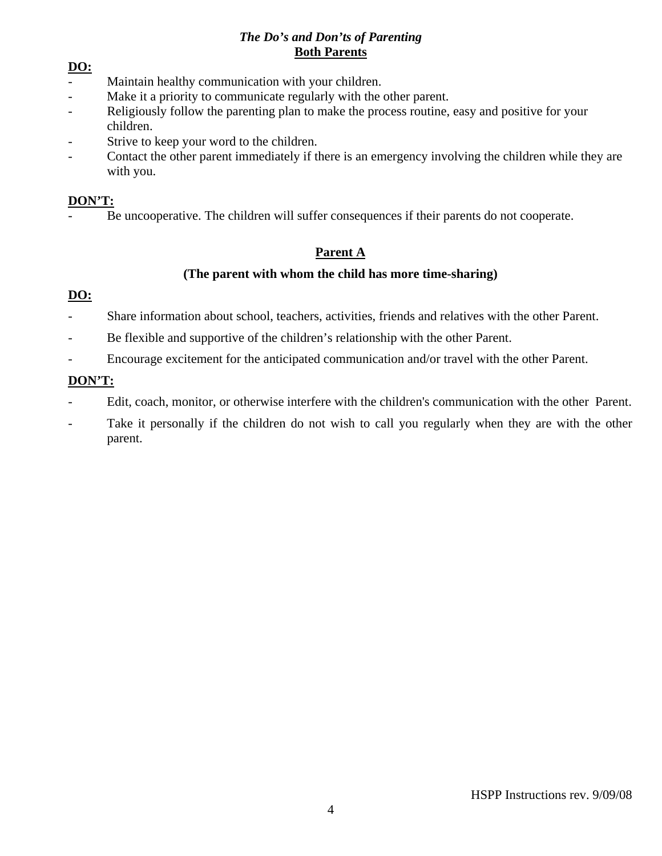### *The Do's and Don'ts of Parenting*  **Both Parents**

### **DO:**

- Maintain healthy communication with your children.
- Make it a priority to communicate regularly with the other parent.
- Religiously follow the parenting plan to make the process routine, easy and positive for your children.
- Strive to keep your word to the children.
- Contact the other parent immediately if there is an emergency involving the children while they are with you.

### **DON'T:**

Be uncooperative. The children will suffer consequences if their parents do not cooperate.

## **Parent A**

### **(The parent with whom the child has more time-sharing)**

## **DO:**

- Share information about school, teachers, activities, friends and relatives with the other Parent.
- Be flexible and supportive of the children's relationship with the other Parent.
- Encourage excitement for the anticipated communication and/or travel with the other Parent.

## **DON'T:**

- Edit, coach, monitor, or otherwise interfere with the children's communication with the other Parent.
- Take it personally if the children do not wish to call you regularly when they are with the other parent.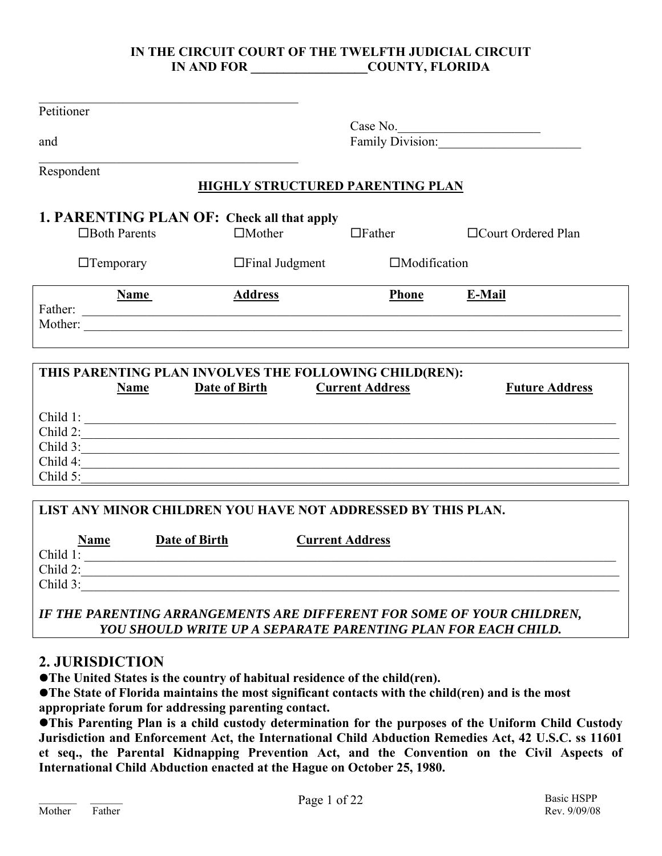### **IN THE CIRCUIT COURT OF THE TWELFTH JUDICIAL CIRCUIT IN AND FOR COUNTY, FLORIDA**

| Petitioner                                                   |                                                        |                              |                       |  |  |  |
|--------------------------------------------------------------|--------------------------------------------------------|------------------------------|-----------------------|--|--|--|
|                                                              |                                                        |                              |                       |  |  |  |
| and                                                          |                                                        | Case No.<br>Family Division: |                       |  |  |  |
| Respondent                                                   |                                                        |                              |                       |  |  |  |
|                                                              | <b>HIGHLY STRUCTURED PARENTING PLAN</b>                |                              |                       |  |  |  |
| 1. PARENTING PLAN OF: Check all that apply                   |                                                        |                              |                       |  |  |  |
| $\Box$ Both Parents                                          | $\Box$ Mother                                          | $\Box$ Father                | □ Court Ordered Plan  |  |  |  |
| $\Box$ Temporary                                             | $\Box$ Final Judgment                                  | $\Box$ Modification          |                       |  |  |  |
| <b>Name</b>                                                  | <b>Address</b>                                         | <b>Phone</b>                 | E-Mail                |  |  |  |
|                                                              |                                                        |                              |                       |  |  |  |
| Mother:                                                      |                                                        |                              |                       |  |  |  |
|                                                              |                                                        |                              |                       |  |  |  |
|                                                              |                                                        |                              |                       |  |  |  |
|                                                              | THIS PARENTING PLAN INVOLVES THE FOLLOWING CHILD(REN): |                              |                       |  |  |  |
| <b>Name</b>                                                  | Date of Birth                                          | <b>Current Address</b>       | <b>Future Address</b> |  |  |  |
|                                                              |                                                        |                              |                       |  |  |  |
| Child 1:                                                     |                                                        |                              |                       |  |  |  |
| Child 2:<br>Child 3:                                         |                                                        |                              |                       |  |  |  |
| Child 4:                                                     |                                                        |                              |                       |  |  |  |
| Child 5:                                                     |                                                        |                              |                       |  |  |  |
| LIST ANY MINOR CHILDREN YOU HAVE NOT ADDRESSED BY THIS PLAN. |                                                        |                              |                       |  |  |  |
|                                                              |                                                        |                              |                       |  |  |  |
| <b>Name</b><br><b>Date of Birth</b>                          |                                                        | <b>Current Address</b>       |                       |  |  |  |
| Child 1:                                                     |                                                        |                              |                       |  |  |  |
| Child 2:<br>Child 3:                                         |                                                        |                              |                       |  |  |  |

*YOU SHOULD WRITE UP A SEPARATE PARENTING PLAN FOR EACH CHILD.* 

## **2. JURISDICTION**

**• The United States is the country of habitual residence of the child(ren).** 

**• The State of Florida maintains the most significant contacts with the child(ren) and is the most appropriate forum for addressing parenting contact.** 

**•This Parenting Plan is a child custody determination for the purposes of the Uniform Child Custody Jurisdiction and Enforcement Act, the International Child Abduction Remedies Act, 42 U.S.C. ss 11601 et seq., the Parental Kidnapping Prevention Act, and the Convention on the Civil Aspects of International Child Abduction enacted at the Hague on October 25, 1980.**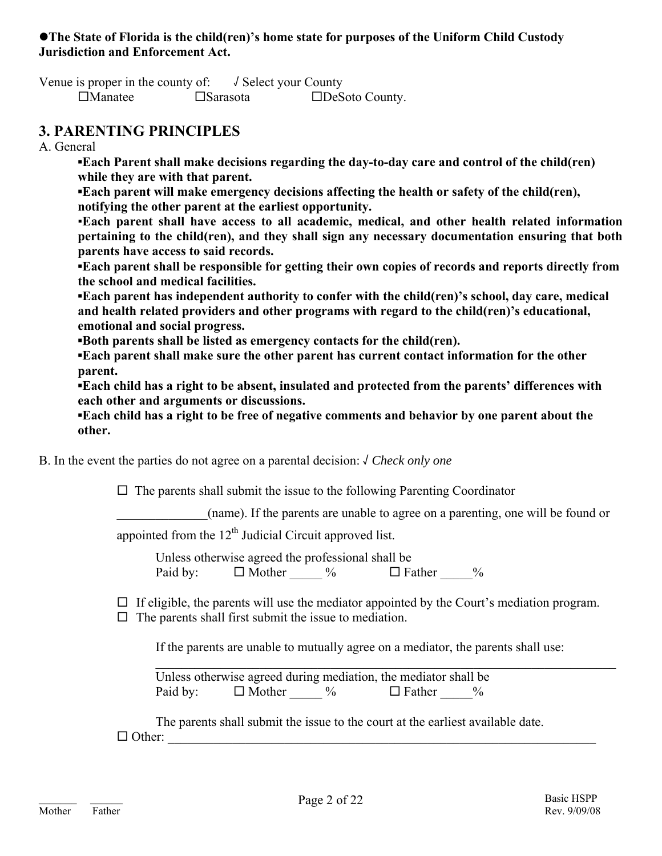### **• The State of Florida is the child(ren)'s home state for purposes of the Uniform Child Custody Jurisdiction and Enforcement Act.**

Venue is proper in the county of:  $\sqrt{\ }$  Select your County Manatee Sarasota DeSoto County.

## **3. PARENTING PRINCIPLES**

A. General

**▪Each Parent shall make decisions regarding the day-to-day care and control of the child(ren) while they are with that parent.** 

**▪Each parent will make emergency decisions affecting the health or safety of the child(ren), notifying the other parent at the earliest opportunity.** 

▪**Each parent shall have access to all academic, medical, and other health related information pertaining to the child(ren), and they shall sign any necessary documentation ensuring that both parents have access to said records.**

**▪Each parent shall be responsible for getting their own copies of records and reports directly from the school and medical facilities.** 

**▪Each parent has independent authority to confer with the child(ren)'s school, day care, medical and health related providers and other programs with regard to the child(ren)'s educational, emotional and social progress.** 

**▪Both parents shall be listed as emergency contacts for the child(ren).** 

**▪Each parent shall make sure the other parent has current contact information for the other parent.** 

**▪Each child has a right to be absent, insulated and protected from the parents' differences with each other and arguments or discussions.** 

**▪Each child has a right to be free of negative comments and behavior by one parent about the other.** 

B. In the event the parties do not agree on a parental decision: √ *Check only one*

 $\Box$  The parents shall submit the issue to the following Parenting Coordinator

\_\_\_\_\_\_\_\_\_\_\_\_\_\_(name). If the parents are unable to agree on a parenting, one will be found or

appointed from the  $12<sup>th</sup>$  Judicial Circuit approved list.

 Unless otherwise agreed the professional shall be Paid by:  $\Box$  Mother  $\%\$   $\Box$  Father  $\%\$ 

 $\Box$  If eligible, the parents will use the mediator appointed by the Court's mediation program.

 $\Box$  The parents shall first submit the issue to mediation.

If the parents are unable to mutually agree on a mediator, the parents shall use:

 Unless otherwise agreed during mediation, the mediator shall be Paid by:  $\Box$  Mother  $\%\$   $\Box$  Father  $\%\$ 

 $\mathcal{L}_\mathcal{L} = \mathcal{L}_\mathcal{L} = \mathcal{L}_\mathcal{L} = \mathcal{L}_\mathcal{L} = \mathcal{L}_\mathcal{L} = \mathcal{L}_\mathcal{L} = \mathcal{L}_\mathcal{L} = \mathcal{L}_\mathcal{L} = \mathcal{L}_\mathcal{L} = \mathcal{L}_\mathcal{L} = \mathcal{L}_\mathcal{L} = \mathcal{L}_\mathcal{L} = \mathcal{L}_\mathcal{L} = \mathcal{L}_\mathcal{L} = \mathcal{L}_\mathcal{L} = \mathcal{L}_\mathcal{L} = \mathcal{L}_\mathcal{L}$ 

 The parents shall submit the issue to the court at the earliest available date.  $\Box$  Other: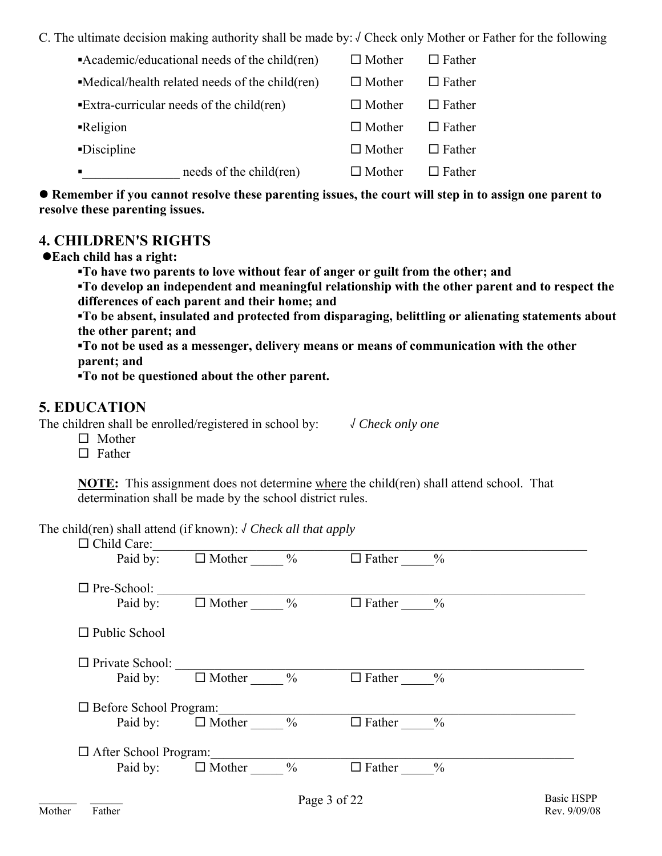C. The ultimate decision making authority shall be made by: √ Check only Mother or Father for the following

|                                                                         | needs of the child(ren)                                         |  | $\Box$ Mother | $\Box$ Father |
|-------------------------------------------------------------------------|-----------------------------------------------------------------|--|---------------|---------------|
| -Discipline                                                             |                                                                 |  | $\Box$ Mother | $\Box$ Father |
| -Religion                                                               |                                                                 |  | $\Box$ Mother | $\Box$ Father |
|                                                                         | $\blacktriangleright$ Extra-curricular needs of the child (ren) |  | $\Box$ Mother | $\Box$ Father |
| $\blacksquare$ Medical/health related needs of the child $(\text{ren})$ |                                                                 |  | $\Box$ Mother | $\Box$ Father |
|                                                                         | • Academic/educational needs of the child(ren)                  |  | $\Box$ Mother | $\Box$ Father |

● Remember if you cannot resolve these parenting issues, the court will step in to assign one parent to **resolve these parenting issues.** 

## **4. CHILDREN'S RIGHTS**

z**Each child has a right:** 

**▪To have two parents to love without fear of anger or guilt from the other; and** 

**▪To develop an independent and meaningful relationship with the other parent and to respect the differences of each parent and their home; and** 

**▪To be absent, insulated and protected from disparaging, belittling or alienating statements about the other parent; and** 

**▪To not be used as a messenger, delivery means or means of communication with the other parent; and** 

**▪To not be questioned about the other parent.** 

## **5. EDUCATION**

The children shall be enrolled/registered in school by: √ *Check only one* 

- $\Box$  Mother
- $\Box$  Father

**NOTE:** This assignment does not determine where the child(ren) shall attend school. That determination shall be made by the school district rules.

The child(ren) shall attend (if known): √ *Check all that apply* 

| $\Box$ Child Care:            |                                         |               |               |                   |
|-------------------------------|-----------------------------------------|---------------|---------------|-------------------|
| Paid by:                      | $\frac{0}{0}$<br>$\Box$ Mother          | $\Box$ Father | $\frac{0}{0}$ |                   |
| $\Box$ Pre-School:            |                                         |               |               |                   |
| Paid by:                      | $\Box$ Mother<br>$\frac{0}{0}$          | $\Box$ Father | $\frac{0}{0}$ |                   |
| $\Box$ Public School          |                                         |               |               |                   |
| $\Box$ Private School:        |                                         |               |               |                   |
| Paid by:                      | $\frac{0}{0}$<br>$\Box$ Mother          | $\Box$ Father | $\frac{0}{0}$ |                   |
| $\Box$ Before School Program: |                                         |               |               |                   |
| Paid by:                      | $\Box$ Mother<br>$\frac{0}{0}$          | $\Box$ Father | $\frac{0}{0}$ |                   |
| $\Box$ After School Program:  |                                         |               |               |                   |
|                               | $\frac{0}{0}$<br>Paid by: $\Box$ Mother | $\Box$ Father | $\frac{0}{0}$ |                   |
|                               |                                         | Page 3 of 22  |               | <b>Basic HSPP</b> |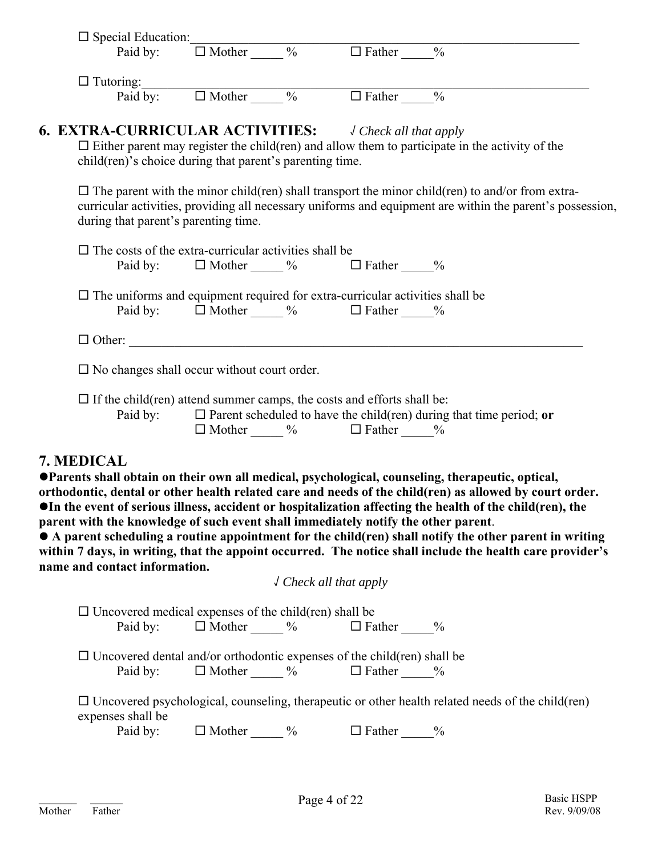| $\Box$ Special Education:<br>Paid by: $\Box$ Mother $\_\_\_\%$ $\Box$ Father $\_\_\_\%$     |                          |                                                            |                                                                                                                                                                                                                                                                                                                                                                                                                                                                                                                                                  |
|---------------------------------------------------------------------------------------------|--------------------------|------------------------------------------------------------|--------------------------------------------------------------------------------------------------------------------------------------------------------------------------------------------------------------------------------------------------------------------------------------------------------------------------------------------------------------------------------------------------------------------------------------------------------------------------------------------------------------------------------------------------|
|                                                                                             |                          |                                                            |                                                                                                                                                                                                                                                                                                                                                                                                                                                                                                                                                  |
| $\Box$ Tutoring:<br>Paid by: $\Box$ Mother $\_\_\_\%$ $\Box$ Father $\_\_\_\%$              |                          |                                                            |                                                                                                                                                                                                                                                                                                                                                                                                                                                                                                                                                  |
|                                                                                             |                          |                                                            |                                                                                                                                                                                                                                                                                                                                                                                                                                                                                                                                                  |
| <b>6. EXTRA-CURRICULAR ACTIVITIES:</b> $\bigcup$ Check all that apply                       |                          |                                                            |                                                                                                                                                                                                                                                                                                                                                                                                                                                                                                                                                  |
| child(ren)'s choice during that parent's parenting time.                                    |                          |                                                            | $\Box$ Either parent may register the child (ren) and allow them to participate in the activity of the                                                                                                                                                                                                                                                                                                                                                                                                                                           |
| during that parent's parenting time.                                                        |                          |                                                            | $\Box$ The parent with the minor child(ren) shall transport the minor child(ren) to and/or from extra-<br>curricular activities, providing all necessary uniforms and equipment are within the parent's possession,                                                                                                                                                                                                                                                                                                                              |
| $\Box$ The costs of the extra-curricular activities shall be                                |                          |                                                            |                                                                                                                                                                                                                                                                                                                                                                                                                                                                                                                                                  |
|                                                                                             |                          | Paid by: $\Box$ Mother $\_\_\_\%$ $\Box$ Father $\_\_\_\%$ |                                                                                                                                                                                                                                                                                                                                                                                                                                                                                                                                                  |
| $\Box$ The uniforms and equipment required for extra-curricular activities shall be         |                          |                                                            |                                                                                                                                                                                                                                                                                                                                                                                                                                                                                                                                                  |
|                                                                                             |                          | Paid by: $\Box$ Mother $\_\_\_\%$ $\Box$ Father $\_\_\_\%$ |                                                                                                                                                                                                                                                                                                                                                                                                                                                                                                                                                  |
|                                                                                             |                          |                                                            |                                                                                                                                                                                                                                                                                                                                                                                                                                                                                                                                                  |
| $\square$ No changes shall occur without court order.                                       |                          |                                                            |                                                                                                                                                                                                                                                                                                                                                                                                                                                                                                                                                  |
|                                                                                             |                          |                                                            |                                                                                                                                                                                                                                                                                                                                                                                                                                                                                                                                                  |
|                                                                                             |                          |                                                            |                                                                                                                                                                                                                                                                                                                                                                                                                                                                                                                                                  |
| $\Box$ If the child(ren) attend summer camps, the costs and efforts shall be:               |                          |                                                            | Paid by: $\Box$ Parent scheduled to have the child(ren) during that time period; or                                                                                                                                                                                                                                                                                                                                                                                                                                                              |
| 7. MEDICAL                                                                                  |                          | $\Box$ Mother $\_\_\_\%$ $\Box$ Father $\_\_\_\%$          |                                                                                                                                                                                                                                                                                                                                                                                                                                                                                                                                                  |
| parent with the knowledge of such event shall immediately notify the other parent.          |                          |                                                            | ●Parents shall obtain on their own all medical, psychological, counseling, therapeutic, optical,<br>orthodontic, dental or other health related care and needs of the child(ren) as allowed by court order.<br>OIn the event of serious illness, accident or hospitalization affecting the health of the child(ren), the<br>• A parent scheduling a routine appointment for the child(ren) shall notify the other parent in writing<br>within 7 days, in writing, that the appoint occurred. The notice shall include the health care provider's |
| name and contact information.                                                               |                          | $\sqrt$ Check all that apply                               |                                                                                                                                                                                                                                                                                                                                                                                                                                                                                                                                                  |
|                                                                                             |                          |                                                            |                                                                                                                                                                                                                                                                                                                                                                                                                                                                                                                                                  |
| $\Box$ Uncovered medical expenses of the child (ren) shall be<br>Paid by:                   | $\Box$ Mother ________ % | $\Box$ Father ______%                                      |                                                                                                                                                                                                                                                                                                                                                                                                                                                                                                                                                  |
|                                                                                             |                          |                                                            |                                                                                                                                                                                                                                                                                                                                                                                                                                                                                                                                                  |
| $\Box$ Uncovered dental and/or orthodontic expenses of the child (ren) shall be<br>Paid by: |                          |                                                            |                                                                                                                                                                                                                                                                                                                                                                                                                                                                                                                                                  |
|                                                                                             |                          | $\Box$ Mother $\_\_\_\_$ % $\Box$ Father $\_\_\_$          |                                                                                                                                                                                                                                                                                                                                                                                                                                                                                                                                                  |
| expenses shall be                                                                           |                          |                                                            | $\Box$ Uncovered psychological, counseling, therapeutic or other health related needs of the child (ren)                                                                                                                                                                                                                                                                                                                                                                                                                                         |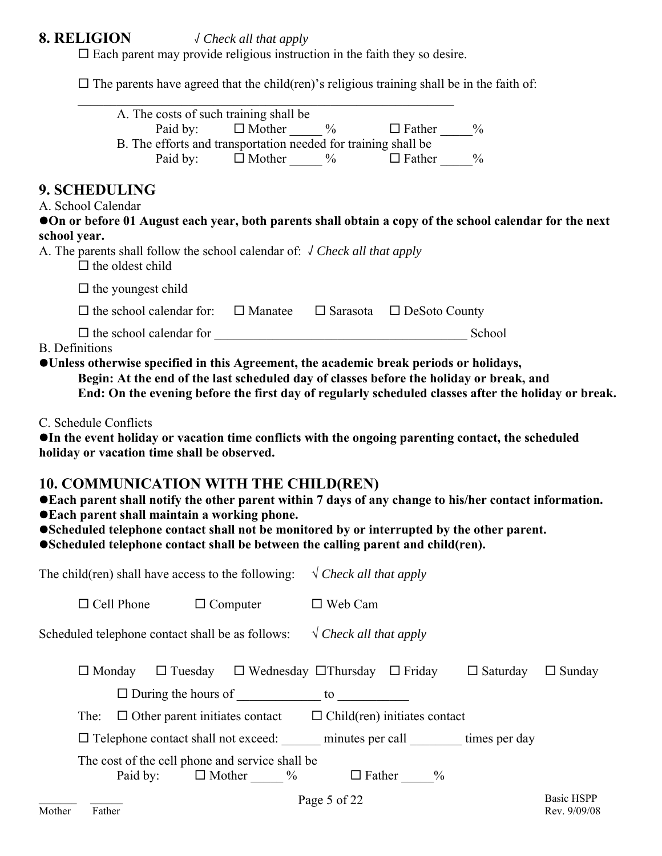## **8. RELIGION** √ *Check all that apply*

 $\square$  Each parent may provide religious instruction in the faith they so desire.

 $\square$  The parents have agreed that the child(ren)'s religious training shall be in the faith of:

|                                     |                         |          |                           | A. The costs of such training shall be                                                                                                                                                                                                                                                   |              |                            |                                                                                                                                                                                                      |                                                                                                        |
|-------------------------------------|-------------------------|----------|---------------------------|------------------------------------------------------------------------------------------------------------------------------------------------------------------------------------------------------------------------------------------------------------------------------------------|--------------|----------------------------|------------------------------------------------------------------------------------------------------------------------------------------------------------------------------------------------------|--------------------------------------------------------------------------------------------------------|
|                                     |                         |          |                           | Paid by: $\Box$ Mother $\_\_\_\%$ $\Box$ Father $\_\_\_\%$                                                                                                                                                                                                                               |              |                            |                                                                                                                                                                                                      |                                                                                                        |
|                                     |                         |          |                           | B. The efforts and transportation needed for training shall be<br>Paid by: $\Box$ Mother $\_\_\_\\%$                                                                                                                                                                                     |              | $\Box$ Father $\_\_\_\_$ % |                                                                                                                                                                                                      |                                                                                                        |
| 9. SCHEDULING<br>A. School Calendar |                         |          |                           |                                                                                                                                                                                                                                                                                          |              |                            |                                                                                                                                                                                                      | On or before 01 August each year, both parents shall obtain a copy of the school calendar for the next |
| school year.                        |                         |          |                           |                                                                                                                                                                                                                                                                                          |              |                            |                                                                                                                                                                                                      |                                                                                                        |
|                                     | $\Box$ the oldest child |          |                           | A. The parents shall follow the school calendar of: $\sqrt{C}$ Check all that apply                                                                                                                                                                                                      |              |                            |                                                                                                                                                                                                      |                                                                                                        |
|                                     |                         |          | $\Box$ the youngest child |                                                                                                                                                                                                                                                                                          |              |                            |                                                                                                                                                                                                      |                                                                                                        |
|                                     |                         |          |                           | $\Box$ the school calendar for: $\Box$ Manatee $\Box$ Sarasota $\Box$ DeSoto County                                                                                                                                                                                                      |              |                            |                                                                                                                                                                                                      |                                                                                                        |
| <b>B.</b> Definitions               |                         |          |                           |                                                                                                                                                                                                                                                                                          |              |                            |                                                                                                                                                                                                      |                                                                                                        |
|                                     |                         |          |                           | OUnless otherwise specified in this Agreement, the academic break periods or holidays,                                                                                                                                                                                                   |              |                            | Begin: At the end of the last scheduled day of classes before the holiday or break, and                                                                                                              | End: On the evening before the first day of regularly scheduled classes after the holiday or break.    |
| C. Schedule Conflicts               |                         |          |                           | holiday or vacation time shall be observed.                                                                                                                                                                                                                                              |              |                            | OIn the event holiday or vacation time conflicts with the ongoing parenting contact, the scheduled                                                                                                   |                                                                                                        |
|                                     |                         |          |                           | <b>10. COMMUNICATION WITH THE CHILD(REN)</b><br>● Each parent shall maintain a working phone.<br>●Scheduled telephone contact shall be between the calling parent and child(ren).<br>The child(ren) shall have access to the following: $\sqrt{C \cdot R}$ <i>N</i> Check all that apply |              |                            | ●Each parent shall notify the other parent within 7 days of any change to his/her contact information.<br>•Scheduled telephone contact shall not be monitored by or interrupted by the other parent. |                                                                                                        |
|                                     |                         |          |                           |                                                                                                                                                                                                                                                                                          |              |                            |                                                                                                                                                                                                      |                                                                                                        |
|                                     |                         |          |                           | $\Box$ Cell Phone $\Box$ Computer $\Box$ Web Cam                                                                                                                                                                                                                                         |              |                            |                                                                                                                                                                                                      |                                                                                                        |
|                                     |                         |          |                           | Scheduled telephone contact shall be as follows: $\sqrt{C}$ <i>N</i> $\sqrt{C}$ <i>N</i> $\sqrt{C}$ <i>Neck all that apply</i>                                                                                                                                                           |              |                            |                                                                                                                                                                                                      |                                                                                                        |
|                                     | $\Box$ Monday           |          |                           | $\Box$ During the hours of $\Box$ to $\Box$                                                                                                                                                                                                                                              |              |                            | $\Box$ Tuesday $\Box$ Wednesday $\Box$ Thursday $\Box$ Friday $\Box$ Saturday $\Box$ Sunday                                                                                                          |                                                                                                        |
|                                     |                         |          |                           | The: $\Box$ Other parent initiates contact $\Box$ Child(ren) initiates contact                                                                                                                                                                                                           |              |                            |                                                                                                                                                                                                      |                                                                                                        |
|                                     |                         |          |                           |                                                                                                                                                                                                                                                                                          |              |                            | □ Telephone contact shall not exceed: ______ minutes per call _______ times per day                                                                                                                  |                                                                                                        |
|                                     |                         | Paid by: |                           | The cost of the cell phone and service shall be<br>$\Box$ Mother $\_\_\_\_$                                                                                                                                                                                                              |              | $\Box$ Father ______%      |                                                                                                                                                                                                      |                                                                                                        |
|                                     |                         |          |                           |                                                                                                                                                                                                                                                                                          | Page 5 of 22 |                            |                                                                                                                                                                                                      | <b>Basic HSPP</b>                                                                                      |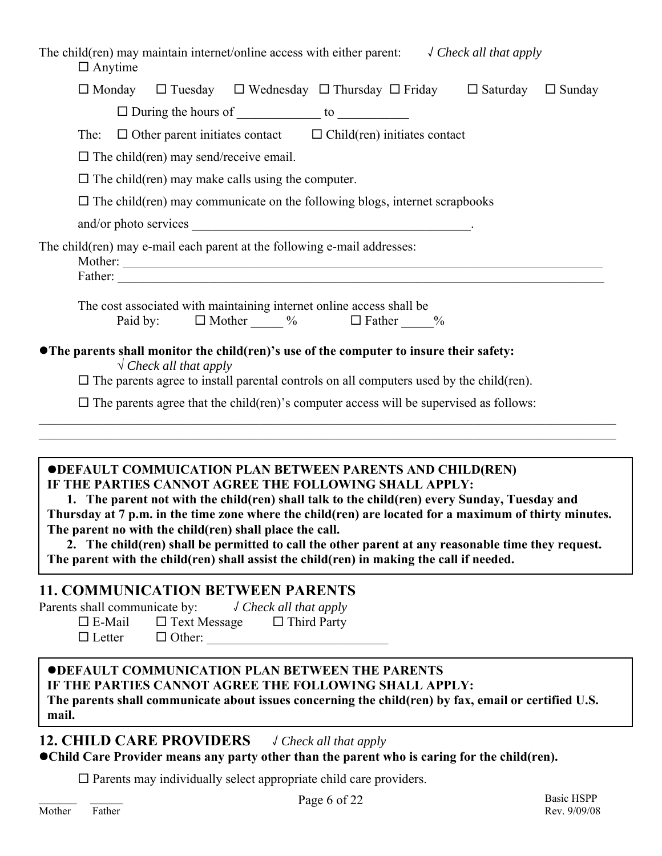| The child(ren) may maintain internet/online access with either parent: $\sqrt{C \cdot 1}$ / $\sqrt{C \cdot 1}$ and $\sqrt{C \cdot 1}$ and $\sqrt{C \cdot 1}$<br>$\Box$ Anytime                                                                                                                                                                                                                                                                                                                                                                                                                   |
|--------------------------------------------------------------------------------------------------------------------------------------------------------------------------------------------------------------------------------------------------------------------------------------------------------------------------------------------------------------------------------------------------------------------------------------------------------------------------------------------------------------------------------------------------------------------------------------------------|
| $\Box$ Monday $\Box$ Tuesday $\Box$ Wednesday $\Box$ Thursday $\Box$ Friday $\Box$ Saturday $\Box$ Sunday                                                                                                                                                                                                                                                                                                                                                                                                                                                                                        |
| $\Box$ During the hours of $\_\_\_\_\_\_\_\_\_\_\_\_\_\_\_\_\_\_\_$                                                                                                                                                                                                                                                                                                                                                                                                                                                                                                                              |
| The: $\Box$ Other parent initiates contact $\Box$ Child(ren) initiates contact                                                                                                                                                                                                                                                                                                                                                                                                                                                                                                                   |
| $\Box$ The child(ren) may send/receive email.                                                                                                                                                                                                                                                                                                                                                                                                                                                                                                                                                    |
| $\Box$ The child (ren) may make calls using the computer.                                                                                                                                                                                                                                                                                                                                                                                                                                                                                                                                        |
| $\Box$ The child (ren) may communicate on the following blogs, internet scrapbooks                                                                                                                                                                                                                                                                                                                                                                                                                                                                                                               |
|                                                                                                                                                                                                                                                                                                                                                                                                                                                                                                                                                                                                  |
| The child(ren) may e-mail each parent at the following e-mail addresses:                                                                                                                                                                                                                                                                                                                                                                                                                                                                                                                         |
| The cost associated with maintaining internet online access shall be<br>Paid by: $\Box$ Mother $\_\_\_\%$ $\Box$ Father $\_\_\_\%$                                                                                                                                                                                                                                                                                                                                                                                                                                                               |
| • The parents shall monitor the child(ren)'s use of the computer to insure their safety:<br>$\sqrt{\text{Check all that apply}}$<br>$\Box$ The parents agree to install parental controls on all computers used by the child (ren).<br>$\Box$ The parents agree that the child (ren)'s computer access will be supervised as follows:                                                                                                                                                                                                                                                            |
| <b>ODEFAULT COMMUICATION PLAN BETWEEN PARENTS AND CHILD(REN)</b><br>IF THE PARTIES CANNOT AGREE THE FOLLOWING SHALL APPLY:<br>1. The parent not with the child(ren) shall talk to the child(ren) every Sunday, Tuesday and<br>Thursday at 7 p.m. in the time zone where the child(ren) are located for a maximum of thirty minutes.<br>The parent no with the child(ren) shall place the call.<br>2. The child(ren) shall be permitted to call the other parent at any reasonable time they request.<br>The parent with the child(ren) shall assist the child(ren) in making the call if needed. |
| <b>11. COMMUNICATION BETWEEN PARENTS</b><br>Parents shall communicate by: $\sqrt{Check}$ all that apply<br>$\square$ Text Message<br>$\Box$ Third Party<br>$\square$ E-Mail<br>$\Box$ Other:<br>$\Box$ Letter                                                                                                                                                                                                                                                                                                                                                                                    |
| <b>ODEFAULT COMMUNICATION PLAN BETWEEN THE PARENTS</b><br>IF THE PARTIES CANNOT AGREE THE FOLLOWING SHALL APPLY:<br>The parents shall communicate about issues concerning the child(ren) by fax, email or certified U.S.<br>mail.                                                                                                                                                                                                                                                                                                                                                                |
| <b>12. CHILD CARE PROVIDERS</b><br>√ Check all that apply<br>• Child Care Provider means any party other than the parent who is caring for the child(ren).                                                                                                                                                                                                                                                                                                                                                                                                                                       |

 $\Box$  <br> Parents may individually select appropriate child care providers.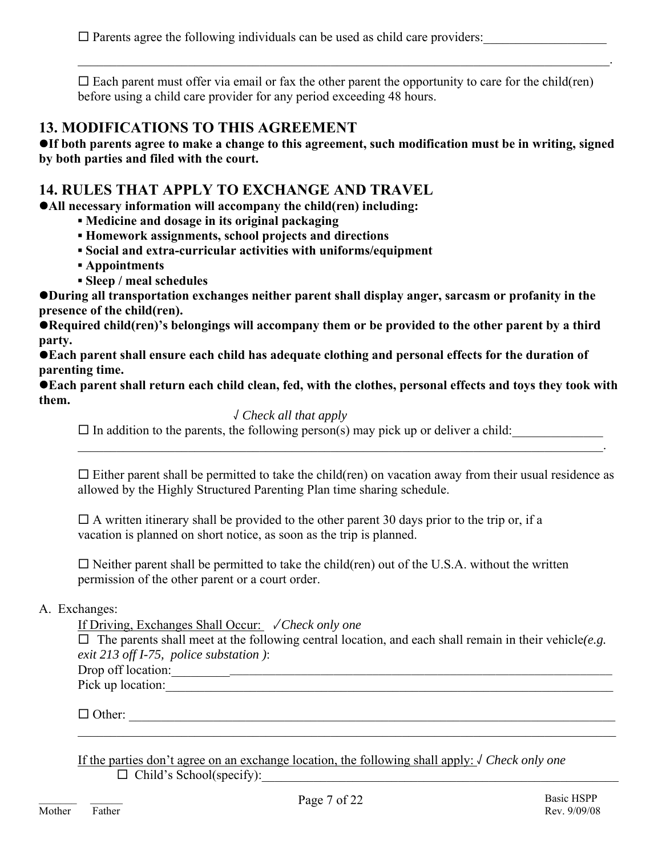$\square$  Parents agree the following individuals can be used as child care providers:

 $\square$  Each parent must offer via email or fax the other parent the opportunity to care for the child(ren) before using a child care provider for any period exceeding 48 hours.

 $\mathcal{L}_\mathcal{L} = \mathcal{L}_\mathcal{L} = \mathcal{L}_\mathcal{L} = \mathcal{L}_\mathcal{L} = \mathcal{L}_\mathcal{L} = \mathcal{L}_\mathcal{L} = \mathcal{L}_\mathcal{L} = \mathcal{L}_\mathcal{L} = \mathcal{L}_\mathcal{L} = \mathcal{L}_\mathcal{L} = \mathcal{L}_\mathcal{L} = \mathcal{L}_\mathcal{L} = \mathcal{L}_\mathcal{L} = \mathcal{L}_\mathcal{L} = \mathcal{L}_\mathcal{L} = \mathcal{L}_\mathcal{L} = \mathcal{L}_\mathcal{L}$ 

## **13. MODIFICATIONS TO THIS AGREEMENT**

**•If both parents agree to make a change to this agreement, such modification must be in writing, signed by both parties and filed with the court.** 

## **14. RULES THAT APPLY TO EXCHANGE AND TRAVEL**

**• All necessary information will accompany the child(ren) including:** 

- **▪ Medicine and dosage in its original packaging**
- **▪ Homework assignments, school projects and directions**
- **▪ Social and extra-curricular activities with uniforms/equipment**
- **▪ Appointments**
- **▪ Sleep / meal schedules**

**• During all transportation exchanges neither parent shall display anger, sarcasm or profanity in the presence of the child(ren).** 

**• Required child(ren)'s belongings will accompany them or be provided to the other parent by a third party.** 

**• Each parent shall ensure each child has adequate clothing and personal effects for the duration of parenting time.** 

● Each parent shall return each child clean, fed, with the clothes, personal effects and toys they took with **them.** 

 $\mathcal{L}_\mathcal{L} = \mathcal{L}_\mathcal{L} = \mathcal{L}_\mathcal{L} = \mathcal{L}_\mathcal{L} = \mathcal{L}_\mathcal{L} = \mathcal{L}_\mathcal{L} = \mathcal{L}_\mathcal{L} = \mathcal{L}_\mathcal{L} = \mathcal{L}_\mathcal{L} = \mathcal{L}_\mathcal{L} = \mathcal{L}_\mathcal{L} = \mathcal{L}_\mathcal{L} = \mathcal{L}_\mathcal{L} = \mathcal{L}_\mathcal{L} = \mathcal{L}_\mathcal{L} = \mathcal{L}_\mathcal{L} = \mathcal{L}_\mathcal{L}$ 

### √ *Check all that apply*

 $\Box$  In addition to the parents, the following person(s) may pick up or deliver a child:

 $\Box$  Either parent shall be permitted to take the child(ren) on vacation away from their usual residence as allowed by the Highly Structured Parenting Plan time sharing schedule.

 $\Box$  A written itinerary shall be provided to the other parent 30 days prior to the trip or, if a vacation is planned on short notice, as soon as the trip is planned.

 $\square$  Neither parent shall be permitted to take the child(ren) out of the U.S.A. without the written permission of the other parent or a court order.

#### A. Exchanges:

If Driving, Exchanges Shall Occur: √ *Check only one*

 $\Box$  The parents shall meet at the following central location, and each shall remain in their vehicle(*e.g. exit 213 off I-75, police substation )*:

Drop off location:\_\_\_\_\_\_\_\_\_\_\_\_\_\_\_\_\_\_\_\_\_\_\_\_\_\_\_\_\_\_\_\_\_\_\_\_\_\_\_\_\_\_\_\_\_\_\_\_\_\_\_\_\_\_\_\_\_\_\_\_\_\_\_\_\_\_\_\_

Pick up location:

 $\Box$  Other:  $\mathcal{L}_\mathcal{L} = \{ \mathcal{L}_\mathcal{L} = \{ \mathcal{L}_\mathcal{L} = \{ \mathcal{L}_\mathcal{L} = \{ \mathcal{L}_\mathcal{L} = \{ \mathcal{L}_\mathcal{L} = \{ \mathcal{L}_\mathcal{L} = \{ \mathcal{L}_\mathcal{L} = \{ \mathcal{L}_\mathcal{L} = \{ \mathcal{L}_\mathcal{L} = \{ \mathcal{L}_\mathcal{L} = \{ \mathcal{L}_\mathcal{L} = \{ \mathcal{L}_\mathcal{L} = \{ \mathcal{L}_\mathcal{L} = \{ \mathcal{L}_\mathcal{$ 

 If the parties don't agree on an exchange location, the following shall apply: √ *Check only one*   $\Box$  Child's School(specify):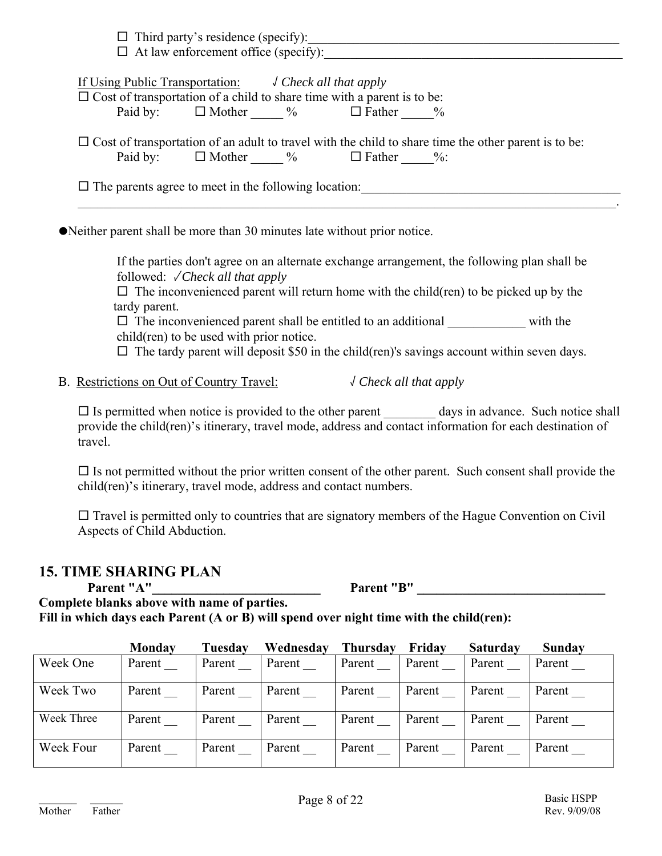| If Using Public Transportation: $\sqrt{C}$ Check all that apply                |  |                                                                                                             |
|--------------------------------------------------------------------------------|--|-------------------------------------------------------------------------------------------------------------|
| $\Box$ Cost of transportation of a child to share time with a parent is to be: |  |                                                                                                             |
| Paid by: $\Box$ Mother $\%$ $\Box$ Father $\%$                                 |  |                                                                                                             |
| Paid by: $\Box$ Mother $\%$ $\Box$ Father $\%$ :                               |  | $\Box$ Cost of transportation of an adult to travel with the child to share time the other parent is to be: |

• Neither parent shall be more than 30 minutes late without prior notice.

If the parties don't agree on an alternate exchange arrangement, the following plan shall be followed: √ *Check all that apply* 

 $\Box$  The inconvenienced parent will return home with the child(ren) to be picked up by the tardy parent.

 $\square$  The inconvenienced parent shall be entitled to an additional with the child(ren) to be used with prior notice.

 $\Box$  The tardy parent will deposit \$50 in the child(ren)'s savings account within seven days.

B. Restrictions on Out of Country Travel: √ *Check all that apply*

 $\Box$  Is permitted when notice is provided to the other parent days in advance. Such notice shall provide the child(ren)'s itinerary, travel mode, address and contact information for each destination of travel.

 $\Box$  Is not permitted without the prior written consent of the other parent. Such consent shall provide the child(ren)'s itinerary, travel mode, address and contact numbers.

 $\Box$  Travel is permitted only to countries that are signatory members of the Hague Convention on Civil Aspects of Child Abduction.

## **15. TIME SHARING PLAN**

**Parent "A"\_\_\_\_\_\_\_\_\_\_\_\_\_\_\_\_\_\_\_\_\_\_\_\_\_\_ Parent "B" \_\_\_\_\_\_\_\_\_\_\_\_\_\_\_\_\_\_\_\_\_\_\_\_\_\_\_\_\_** 

**Complete blanks above with name of parties. Fill in which days each Parent (A or B) will spend over night time with the child(ren):** 

|            | Monday | Tuesday | Wednesday | <b>Thursday</b> | Fridav | <b>Saturday</b> | Sunday |
|------------|--------|---------|-----------|-----------------|--------|-----------------|--------|
| Week One   | Parent | Parent  | Parent    | Parent          | Parent | Parent          | Parent |
| Week Two   | Parent | Parent  | Parent    | Parent          | Parent | Parent          | Parent |
| Week Three | Parent | Parent  | Parent    | Parent          | Parent | Parent          | Parent |
| Week Four  | Parent | Parent  | Parent    | Parent          | Parent | Parent          | Parent |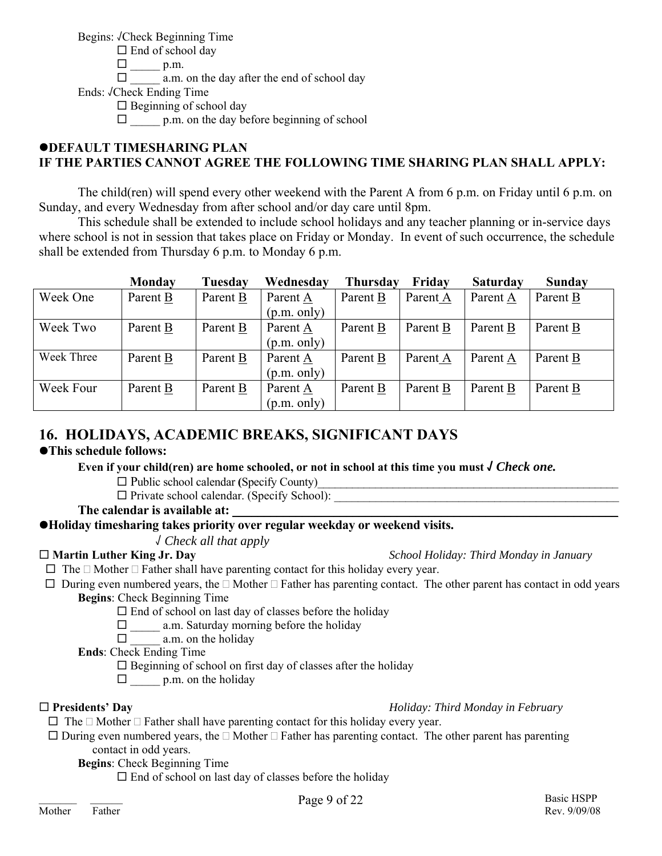Begins: √Check Beginning Time

 $\Box$  End of school day  $\square$  p.m.

 $\Box$  a.m. on the day after the end of school day

Ends: √Check Ending Time

 $\Box$  Beginning of school day

 $\Box$  p.m. on the day before beginning of school

## **ODEFAULT TIMESHARING PLAN IF THE PARTIES CANNOT AGREE THE FOLLOWING TIME SHARING PLAN SHALL APPLY:**

 The child(ren) will spend every other weekend with the Parent A from 6 p.m. on Friday until 6 p.m. on Sunday, and every Wednesday from after school and/or day care until 8pm.

 This schedule shall be extended to include school holidays and any teacher planning or in-service days where school is not in session that takes place on Friday or Monday. In event of such occurrence, the schedule shall be extended from Thursday 6 p.m. to Monday 6 p.m.

|            | Monday   | Tuesday  | Wednesday   | <b>Thursday</b> | Friday   | <b>Saturday</b> | Sunday   |
|------------|----------|----------|-------------|-----------------|----------|-----------------|----------|
| Week One   | Parent B | Parent B | Parent A    | Parent B        | Parent A | Parent A        | Parent B |
|            |          |          | (p.m. only) |                 |          |                 |          |
| Week Two   | Parent B | Parent B | Parent A    | Parent B        | Parent B | Parent B        | Parent B |
|            |          |          | (p.m. only) |                 |          |                 |          |
| Week Three | Parent B | Parent B | Parent A    | Parent B        | Parent A | Parent A        | Parent B |
|            |          |          | (p.m. only) |                 |          |                 |          |
| Week Four  | Parent B | Parent B | Parent A    | Parent B        | Parent B | Parent B        | Parent B |
|            |          |          | (p.m. only) |                 |          |                 |          |

## **16. HOLIDAYS, ACADEMIC BREAKS, SIGNIFICANT DAYS**

## $\bullet$ **This schedule follows:**

Even if your child(ren) are home schooled, or not in school at this time you must  $\sqrt{Check\ one}$ .

 $\Box$  Public school calendar (Specify County)

 $\Box$  Private school calendar. (Specify School):

The calendar is available at:

## z**Holiday timesharing takes priority over regular weekday or weekend visits.**

√ *Check all that apply* 

**Martin Luther King Jr. Day** *School Holiday: Third Monday in January*

 $\Box$  The  $\Box$  Mother  $\Box$  Father shall have parenting contact for this holiday every year.

 $\Box$  During even numbered years, the  $\Box$  Mother  $\Box$  Father has parenting contact. The other parent has contact in odd years **Begins**: Check Beginning Time

 $\Box$  End of school on last day of classes before the holiday

- $\Box$  a.m. Saturday morning before the holiday
- $\Box$  a.m. on the holiday

**Ends**: Check Ending Time

 $\square$  Beginning of school on first day of classes after the holiday

 $\Box$  p.m. on the holiday

**Presidents' Day** *Holiday: Third Monday in February*

- $\Box$  The  $\Box$  Mother  $\Box$  Father shall have parenting contact for this holiday every year.
- $\Box$  During even numbered years, the  $\Box$  Mother  $\Box$  Father has parenting contact. The other parent has parenting contact in odd years.

**Begins**: Check Beginning Time

 $\square$  End of school on last day of classes before the holiday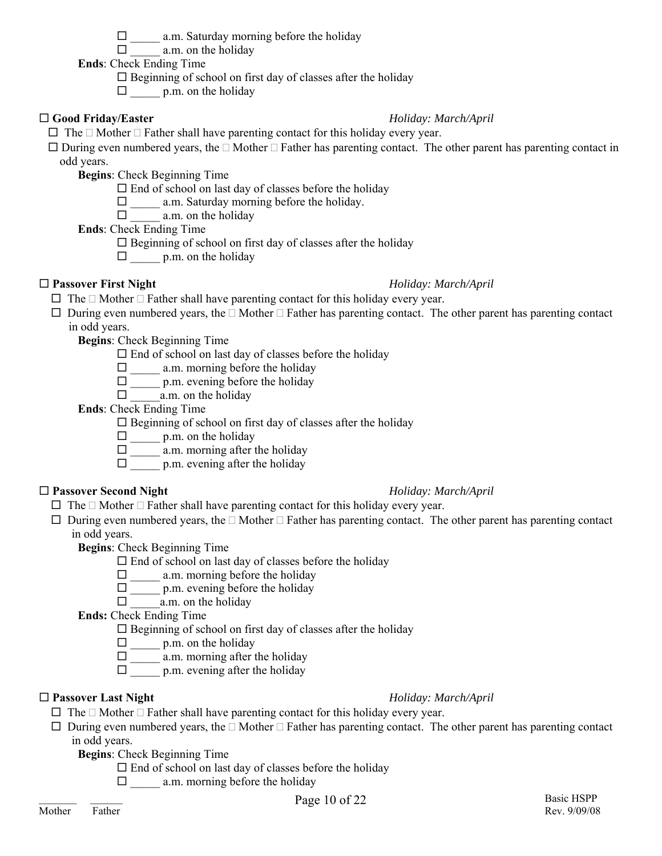$\Box$  a.m. on the holiday

**Ends**: Check Ending Time

 $\square$  Beginning of school on first day of classes after the holiday

 $\Box$  p.m. on the holiday

## **Good Friday/Easter** *Holiday: March/April*

 $\Box$  The  $\Box$  Mother  $\Box$  Father shall have parenting contact for this holiday every year.

 $\Box$  During even numbered years, the  $\Box$  Mother  $\Box$  Father has parenting contact. The other parent has parenting contact in odd years.

**Begins**: Check Beginning Time

 $\Box$  End of school on last day of classes before the holiday

 $\Box$  a.m. Saturday morning before the holiday.

 $\Box$  a.m. on the holiday

**Ends**: Check Ending Time

 $\square$  Beginning of school on first day of classes after the holiday

 $\Box$  p.m. on the holiday

## **Passover First Night** *Holiday: March/April*

- $\Box$  The  $\Box$  Mother  $\Box$  Father shall have parenting contact for this holiday every year.
- $\Box$  During even numbered years, the  $\Box$  Mother  $\Box$  Father has parenting contact. The other parent has parenting contact in odd years.

**Begins**: Check Beginning Time

- $\Box$  End of school on last day of classes before the holiday
- $\Box$  a.m. morning before the holiday
- $\Box$  p.m. evening before the holiday
- $\Box$  a.m. on the holiday

**Ends**: Check Ending Time

 $\square$  Beginning of school on first day of classes after the holiday

- $\square$  p.m. on the holiday
- $\square$  \_\_\_\_\_\_ a.m. morning after the holiday
- $\Box$  p.m. evening after the holiday

## **Passover Second Night** *Holiday: March/April*

- $\Box$  The  $\Box$  Mother  $\Box$  Father shall have parenting contact for this holiday every year.
- $\Box$  During even numbered years, the  $\Box$  Mother  $\Box$  Father has parenting contact. The other parent has parenting contact in odd years.

**Begins**: Check Beginning Time

- $\Box$  End of school on last day of classes before the holiday
- $\Box$  a.m. morning before the holiday
- $\square$  p.m. evening before the holiday
- $\Box$  a.m. on the holiday

**Ends:** Check Ending Time

 $\square$  Beginning of school on first day of classes after the holiday

 $\Box$  p.m. on the holiday

- $\square$  a.m. morning after the holiday
- $\Box$  p.m. evening after the holiday

## **Passover Last Night** *Holiday: March/April*

- $\Box$  The  $\Box$  Mother  $\Box$  Father shall have parenting contact for this holiday every year.
- $\Box$  During even numbered years, the  $\Box$  Mother  $\Box$  Father has parenting contact. The other parent has parenting contact in odd years.
	- **Begins**: Check Beginning Time
		- $\Box$  End of school on last day of classes before the holiday
			- $\Box$  a.m. morning before the holiday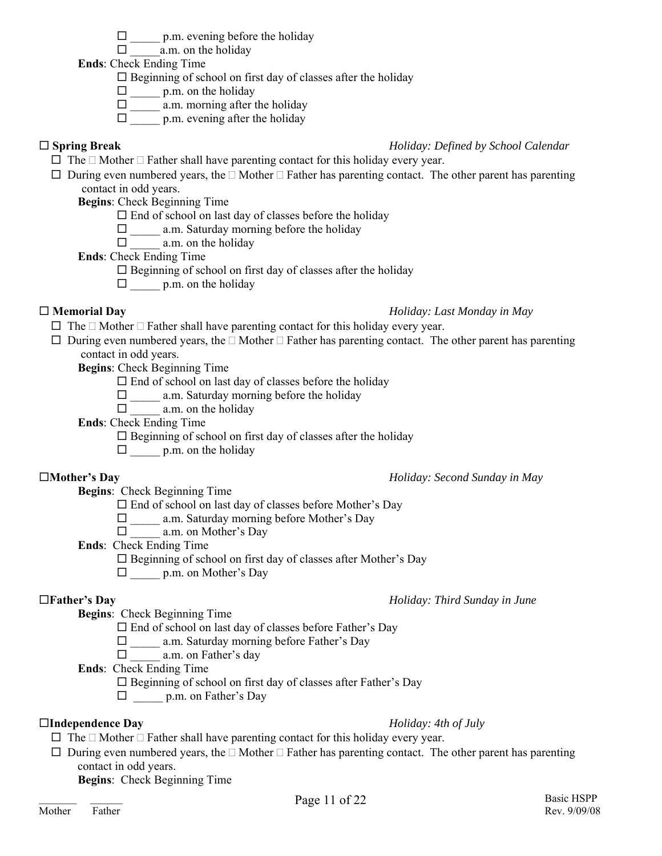### $\square$  p.m. evening before the holiday

 $\Box$  a.m. on the holiday

**Ends**: Check Ending Time

 $\square$  Beginning of school on first day of classes after the holiday

 $\square$  p.m. on the holiday

- \_\_\_\_\_ a.m. morning after the holiday
- $\Box$  p.m. evening after the holiday

#### **Spring Break** *Holiday: Defined by School Calendar*

- $\Box$  The  $\Box$  Mother  $\Box$  Father shall have parenting contact for this holiday every year.
- $\Box$  During even numbered years, the  $\Box$  Mother  $\Box$  Father has parenting contact. The other parent has parenting contact in odd years.

**Begins**: Check Beginning Time

 $\Box$  End of school on last day of classes before the holiday

 $\Box$  a.m. Saturday morning before the holiday

 $\Box$  a.m. on the holiday

**Ends**: Check Ending Time

- $\square$  Beginning of school on first day of classes after the holiday
- $\Box$  p.m. on the holiday

### **Memorial Day** *Holiday: Last Monday in May*

- $\Box$  The  $\Box$  Mother  $\Box$  Father shall have parenting contact for this holiday every year.
- $\Box$  During even numbered years, the  $\Box$  Mother  $\Box$  Father has parenting contact. The other parent has parenting contact in odd years.

**Begins**: Check Beginning Time

 $\Box$  End of school on last day of classes before the holiday

- $\Box$  a.m. Saturday morning before the holiday
- $\Box$  a.m. on the holiday

**Ends**: Check Ending Time

 $\square$  Beginning of school on first day of classes after the holiday

 $\Box$  p.m. on the holiday

### **Mother's Day** *Holiday: Second Sunday in May*

**Begins**: Check Beginning Time

 $\square$  End of school on last day of classes before Mother's Day

□ \_\_\_\_\_ a.m. Saturday morning before Mother's Day

 $\Box$  a.m. on Mother's Day

**Ends**: Check Ending Time

 $\square$  Beginning of school on first day of classes after Mother's Day

□ p.m. on Mother's Day

## **Father's Day** *Holiday: Third Sunday in June*

**Begins**: Check Beginning Time

 $\square$  End of school on last day of classes before Father's Day

□ a.m. Saturday morning before Father's Day

 $\Box$  a.m. on Father's day

**Ends**: Check Ending Time

Beginning of school on first day of classes after Father's Day

 $\Box$  p.m. on Father's Day

### **Independence Day** *Holiday: 4th of July*

- $\Box$  The  $\Box$  Mother  $\Box$  Father shall have parenting contact for this holiday every year.
- $\Box$  During even numbered years, the  $\Box$  Mother  $\Box$  Father has parenting contact. The other parent has parenting contact in odd years.

**Begins**: Check Beginning Time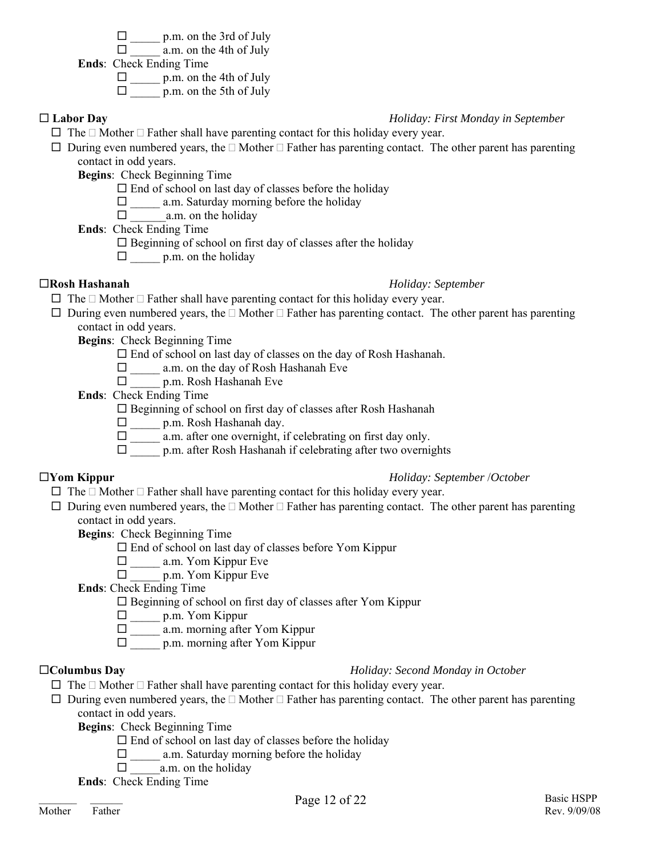$\Box$  p.m. on the 3rd of July

 $\Box$  a.m. on the 4th of July

**Ends**: Check Ending Time

 $\square$  p.m. on the 4th of July

 $\Box$  p.m. on the 5th of July

### **Labor Day** *Holiday: First Monday in September*

- $\Box$  The  $\Box$  Mother  $\Box$  Father shall have parenting contact for this holiday every year.
- $\Box$  During even numbered years, the  $\Box$  Mother  $\Box$  Father has parenting contact. The other parent has parenting contact in odd years.

**Begins**: Check Beginning Time

 $\Box$  End of school on last day of classes before the holiday

 $\Box$  a.m. Saturday morning before the holiday

 $\Box$  a.m. on the holiday

**Ends**: Check Ending Time

- $\square$  Beginning of school on first day of classes after the holiday
- $\square$  p.m. on the holiday

#### **Rosh Hashanah** *Holiday: September*

- $\Box$  The  $\Box$  Mother  $\Box$  Father shall have parenting contact for this holiday every year.
- $\Box$  During even numbered years, the  $\Box$  Mother  $\Box$  Father has parenting contact. The other parent has parenting contact in odd years.

**Begins**: Check Beginning Time

 $\square$  End of school on last day of classes on the day of Rosh Hashanah.

\_\_\_\_\_ a.m. on the day of Rosh Hashanah Eve

\_\_\_\_\_ p.m. Rosh Hashanah Eve

**Ends**: Check Ending Time

Beginning of school on first day of classes after Rosh Hashanah

 $\square$  p.m. Rosh Hashanah day.

 $\Box$  a.m. after one overnight, if celebrating on first day only.

 $\Box$  p.m. after Rosh Hashanah if celebrating after two overnights

### **Yom Kippur** *Holiday: September* /*October*

 $\Box$  The  $\Box$  Mother  $\Box$  Father shall have parenting contact for this holiday every year.

 $\Box$  During even numbered years, the  $\Box$  Mother  $\Box$  Father has parenting contact. The other parent has parenting contact in odd years.

**Begins**: Check Beginning Time

 $\square$  End of school on last day of classes before Yom Kippur

- $\Box$  a.m. Yom Kippur Eve
- $\square$  p.m. Yom Kippur Eve

**Ends**: Check Ending Time

 $\square$  Beginning of school on first day of classes after Yom Kippur

\_\_\_\_\_ p.m. Yom Kippur

- $\square$  a.m. morning after Yom Kippur
- $\Box$  p.m. morning after Yom Kippur

### **Columbus Day** *Holiday: Second Monday in October*

- $\Box$  The  $\Box$  Mother  $\Box$  Father shall have parenting contact for this holiday every year.
- $\Box$  During even numbered years, the  $\Box$  Mother  $\Box$  Father has parenting contact. The other parent has parenting contact in odd years.

**Begins**: Check Beginning Time

- $\Box$  End of school on last day of classes before the holiday
- $\Box$  a.m. Saturday morning before the holiday
- $\Box$  a.m. on the holiday

**Ends**: Check Ending Time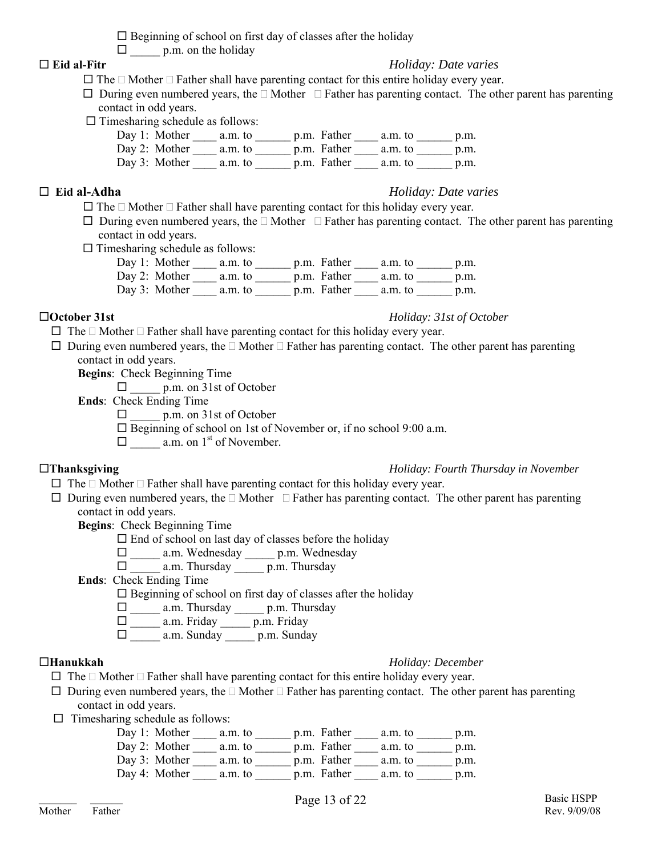$\square$  Beginning of school on first day of classes after the holiday

 $\Box$  p.m. on the holiday

### **Eid al-Fitr** *Holiday: Date varies*

- $\Box$  The  $\Box$  Mother  $\Box$  Father shall have parenting contact for this entire holiday every year.
- $\Box$  During even numbered years, the  $\Box$  Mother  $\Box$  Father has parenting contact. The other parent has parenting contact in odd years.
- $\Box$  Timesharing schedule as follows:

| Day 1: Mother a.m. to   |         | p.m. Father         | a.m. to | p.m. |
|-------------------------|---------|---------------------|---------|------|
| Day 2: Mother $a.m.$ to |         | p.m. Father a.m. to |         | p.m. |
| Day 3: Mother           | a.m. to | p.m. Father         | a.m. to | p.m. |

### **Eid al-Adha** *Holiday: Date varies*

- $\Box$  The  $\Box$  Mother  $\Box$  Father shall have parenting contact for this holiday every year.
- $\Box$  During even numbered years, the  $\Box$  Mother  $\Box$  Father has parenting contact. The other parent has parenting contact in odd years.
- $\Box$  Timesharing schedule as follows:
	- Day 1: Mother \_\_\_\_\_ a.m. to \_\_\_\_\_\_\_ p.m. Father \_\_\_\_\_ a.m. to \_\_\_\_\_\_\_ p.m. Day 2: Mother  $\frac{1}{\sqrt{2}}$  a.m. to  $\frac{1}{\sqrt{2}}$  p.m. Father  $\frac{1}{\sqrt{2}}$  a.m. to  $\frac{1}{\sqrt{2}}$  p.m. Day 3: Mother \_\_\_\_\_ a.m. to \_\_\_\_\_\_\_ p.m. Father \_\_\_\_\_ a.m. to \_\_\_\_\_\_\_ p.m.

#### **October 31st** *Holiday: 31st of October*

 $\Box$  The  $\Box$  Mother  $\Box$  Father shall have parenting contact for this holiday every year.

 $\Box$  During even numbered years, the  $\Box$  Mother  $\Box$  Father has parenting contact. The other parent has parenting contact in odd years.

**Begins**: Check Beginning Time

- $\Box$  p.m. on 31st of October
- **Ends**: Check Ending Time
	- $\Box$  p.m. on 31st of October
	- $\Box$  Beginning of school on 1st of November or, if no school 9:00 a.m.

 $\Box$  a.m. on 1<sup>st</sup> of November.

#### **Thanksgiving** *Holiday: Fourth Thursday in November*

- $\Box$  The  $\Box$  Mother  $\Box$  Father shall have parenting contact for this holiday every year.
- $\Box$  During even numbered years, the  $\Box$  Mother  $\Box$  Father has parenting contact. The other parent has parenting contact in odd years.

**Begins**: Check Beginning Time

- $\Box$  End of school on last day of classes before the holiday
- \_\_\_\_\_ a.m. Wednesday \_\_\_\_\_ p.m. Wednesday

## $\square$  \_\_\_\_\_\_ a.m. Thursday \_\_\_\_\_\_\_ p.m. Thursday

**Ends**: Check Ending Time

 $\square$  Beginning of school on first day of classes after the holiday

- $\Box$  a.m. Thursday p.m. Thursday
- $\Box$  a.m. Friday  $\Box$  p.m. Friday
- $\Box$  a.m. Sunday p.m. Sunday

#### **Hanukkah** *Holiday: December*

- $\Box$  The  $\Box$  Mother  $\Box$  Father shall have parenting contact for this entire holiday every year.
- $\Box$  During even numbered years, the  $\Box$  Mother  $\Box$  Father has parenting contact. The other parent has parenting contact in odd years.
- $\Box$  Timesharing schedule as follows:<br>Day 1: Mother a n

| Day 1: Mother           | a.m. to | p.m. Father | a.m. to | p.m. |
|-------------------------|---------|-------------|---------|------|
| Day 2: Mother $a.m.$ to |         | p.m. Father | a.m. to | p.m. |
| Day 3: Mother           | a.m. to | p.m. Father | a.m. to | p.m. |
| Day 4: Mother           | a.m. to | p.m. Father | a.m. to | p.m. |
|                         |         |             |         |      |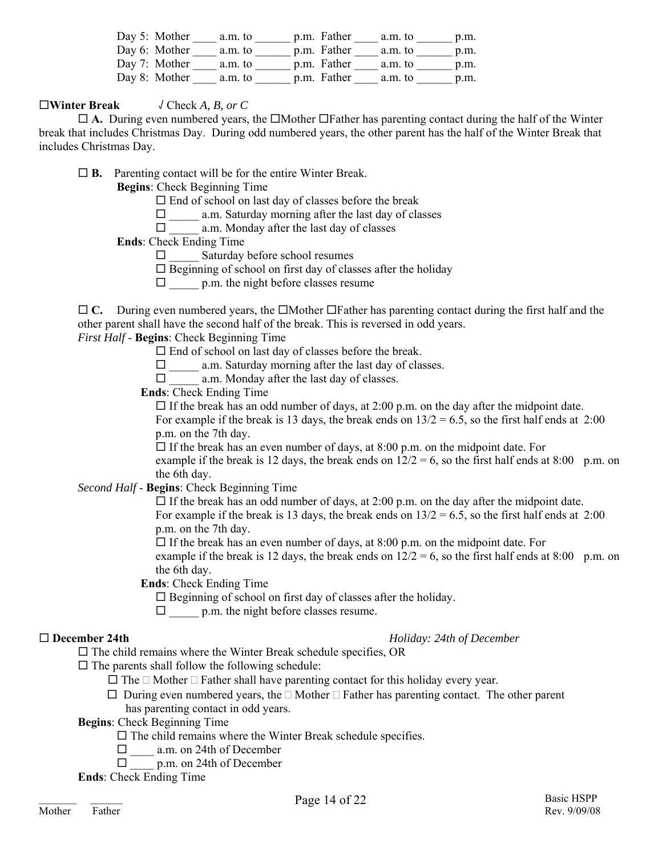| Day 5: Mother           | a.m. to | p.m. Father | a.m. to | p.m. |
|-------------------------|---------|-------------|---------|------|
| Day 6: Mother $a.m.$ to |         | p.m. Father | a.m. to | p.m. |
| Day 7: Mother $a.m.$ to |         | p.m. Father | a.m. to | p.m. |
| Day 8: Mother           | a.m. to | p.m. Father | a.m. to | p.m. |

#### **Winter Break** √ Check *A, B, or C*

 $\Box$  A. During even numbered years, the  $\Box$ Mother  $\Box$ Father has parenting contact during the half of the Winter break that includes Christmas Day. During odd numbered years, the other parent has the half of the Winter Break that includes Christmas Day.

**B.** Parenting contact will be for the entire Winter Break.

**Begins**: Check Beginning Time

 $\square$  End of school on last day of classes before the break

 $\Box$  a.m. Saturday morning after the last day of classes

 $\Box$  a.m. Monday after the last day of classes

**Ends**: Check Ending Time

 $\Box$  Saturday before school resumes

 $\square$  Beginning of school on first day of classes after the holiday

 $\Box$  p.m. the night before classes resume

 $\Box$  C. During even numbered years, the  $\Box$ Mother  $\Box$ Father has parenting contact during the first half and the other parent shall have the second half of the break. This is reversed in odd years.

*First Half* - **Begins**: Check Beginning Time

 $\square$  End of school on last day of classes before the break.

 $\Box$  a.m. Saturday morning after the last day of classes.

 $\Box$  a.m. Monday after the last day of classes.

**Ends**: Check Ending Time

 $\Box$  If the break has an odd number of days, at 2:00 p.m. on the day after the midpoint date. For example if the break is 13 days, the break ends on  $13/2 = 6.5$ , so the first half ends at 2:00 p.m. on the 7th day.

 $\Box$  If the break has an even number of days, at 8:00 p.m. on the midpoint date. For example if the break is 12 days, the break ends on  $12/2 = 6$ , so the first half ends at 8:00 p.m. on the 6th day.

*Second Half* - **Begins**: Check Beginning Time

 $\Box$  If the break has an odd number of days, at 2:00 p.m. on the day after the midpoint date. For example if the break is 13 days, the break ends on  $13/2 = 6.5$ , so the first half ends at 2:00 p.m. on the 7th day.

 $\Box$  If the break has an even number of days, at 8:00 p.m. on the midpoint date. For example if the break is 12 days, the break ends on  $12/2 = 6$ , so the first half ends at 8:00 p.m. on the 6th day.

**Ends**: Check Ending Time

 $\Box$  Beginning of school on first day of classes after the holiday.

 $\Box$  p.m. the night before classes resume.

**December 24th** *Holiday: 24th of December*

 $\square$  The child remains where the Winter Break schedule specifies, OR

 $\square$  The parents shall follow the following schedule:

- $\Box$  The  $\Box$  Mother  $\Box$  Father shall have parenting contact for this holiday every year.
- $\Box$  During even numbered years, the  $\Box$  Mother  $\Box$  Father has parenting contact. The other parent has parenting contact in odd years.
- **Begins**: Check Beginning Time
	- $\square$  The child remains where the Winter Break schedule specifies.
	- □ a.m. on 24th of December
	- $\Box$  p.m. on 24th of December
- **Ends**: Check Ending Time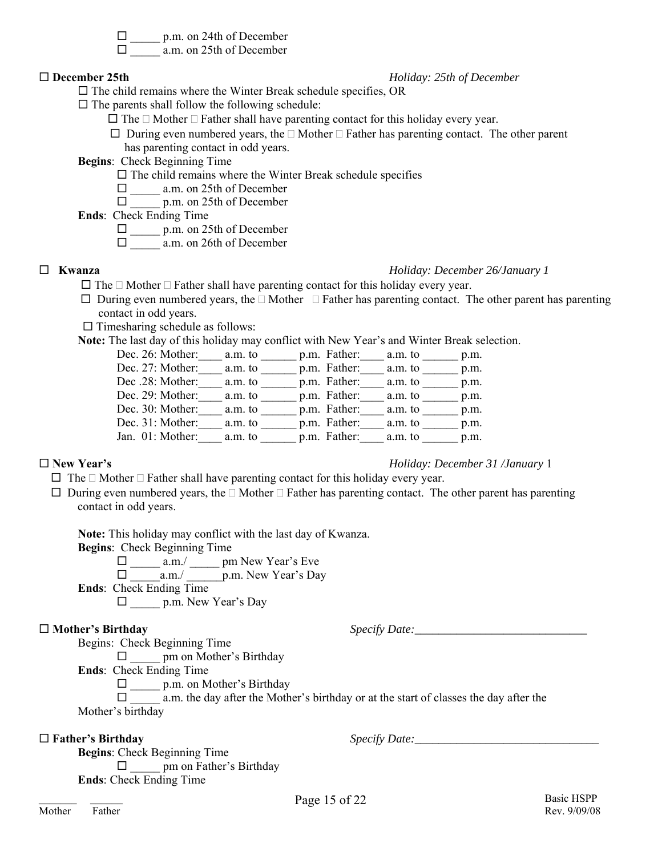□ \_\_\_\_\_ p.m. on 24th of December

□ a.m. on 25th of December

#### **December 25th** *Holiday: 25th of December*

 $\square$  The child remains where the Winter Break schedule specifies, OR

 $\square$  The parents shall follow the following schedule:

- $\Box$  The  $\Box$  Mother  $\Box$  Father shall have parenting contact for this holiday every year.
- $\Box$  During even numbered years, the  $\Box$  Mother  $\Box$  Father has parenting contact. The other parent has parenting contact in odd years.
- **Begins**: Check Beginning Time
	- $\square$  The child remains where the Winter Break schedule specifies
		- □ a.m. on 25th of December
		- $\Box$  p.m. on 25th of December
- **Ends**: Check Ending Time
	- $\Box$  p.m. on 25th of December
	- \_\_\_\_\_ a.m. on 26th of December
- 

#### **Kwanza** *Holiday: December 26/January 1*

- $\Box$  The  $\Box$  Mother  $\Box$  Father shall have parenting contact for this holiday every year.
- $\Box$  During even numbered years, the  $\Box$  Mother  $\Box$  Father has parenting contact. The other parent has parenting contact in odd years.
- $\Box$  Timesharing schedule as follows:

**Note:** The last day of this holiday may conflict with New Year's and Winter Break selection.

| Dec. 26: Mother: | a.m. to | p.m. Father: | a.m. to | p.m. |
|------------------|---------|--------------|---------|------|
| Dec. 27: Mother: | a.m. to | p.m. Father: | a.m. to | p.m. |
| Dec .28: Mother: | a.m. to | p.m. Father: | a.m. to | p.m. |
| Dec. 29: Mother: | a.m. to | p.m. Father: | a.m. to | p.m. |
| Dec. 30: Mother: | a.m. to | p.m. Father: | a.m. to | p.m. |
| Dec. 31: Mother: | a.m. to | p.m. Father: | a.m. to | p.m. |
| Jan. 01: Mother: | a.m. to | p.m. Father: | a.m. to | p.m. |

#### **New Year's** *Holiday: December 31 /January* 1

- $\Box$  The  $\Box$  Mother  $\Box$  Father shall have parenting contact for this holiday every year.
- $\Box$  During even numbered years, the  $\Box$  Mother  $\Box$  Father has parenting contact. The other parent has parenting contact in odd years.

**Note:** This holiday may conflict with the last day of Kwanza.

**Begins**: Check Beginning Time

 $\square$  \_\_\_\_\_ a.m./ \_\_\_\_\_ pm New Year's Eve

\_\_\_\_\_a.m./ \_\_\_\_\_\_p.m. New Year's Day

**Ends**: Check Ending Time

\_\_\_\_\_ p.m. New Year's Day

□ **Mother's Birthday become that the specify Date:** 

Begins: Check Beginning Time

 $\Box$  pm on Mother's Birthday

**Ends**: Check Ending Time

 $\square$  p.m. on Mother's Birthday

 $\Box$  a.m. the day after the Mother's birthday or at the start of classes the day after the Mother's birthday

 $\Box$  **Father's Birthday Specify Date:** 

**Begins**: Check Beginning Time  $\Box$  pm on Father's Birthday **Ends**: Check Ending Time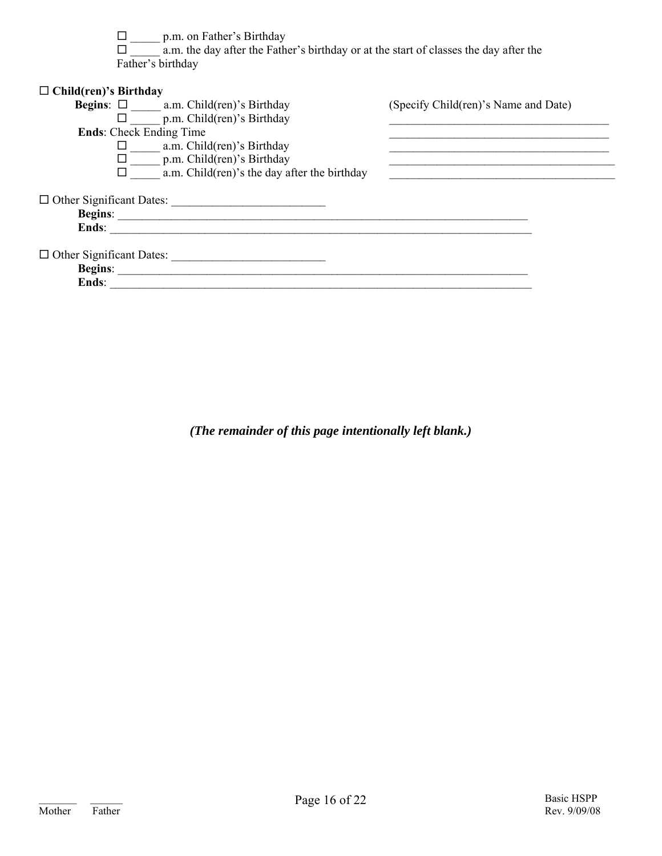$\Box$  p.m. on Father's Birthday

 $\Box$  a.m. the day after the Father's birthday or at the start of classes the day after the Father's birthday

| $\Box$ Child(ren)'s Birthday                     |                                      |
|--------------------------------------------------|--------------------------------------|
| <b>Begins:</b> $\Box$ a.m. Child(ren)'s Birthday | (Specify Child(ren)'s Name and Date) |
| $\Box$ p.m. Child(ren)'s Birthday                |                                      |
| <b>Ends:</b> Check Ending Time                   |                                      |
| a.m. Child(ren)'s Birthday                       |                                      |
| $\Box$ p.m. Child(ren)'s Birthday                |                                      |
| a.m. Child(ren)'s the day after the birthday     |                                      |
|                                                  |                                      |
| $\Box$ Other Significant Dates:                  |                                      |
|                                                  |                                      |
| Ends:                                            |                                      |
|                                                  |                                      |
| $\Box$ Other Significant Dates:                  |                                      |
|                                                  |                                      |
| Ends:                                            |                                      |
|                                                  |                                      |

*(The remainder of this page intentionally left blank.)*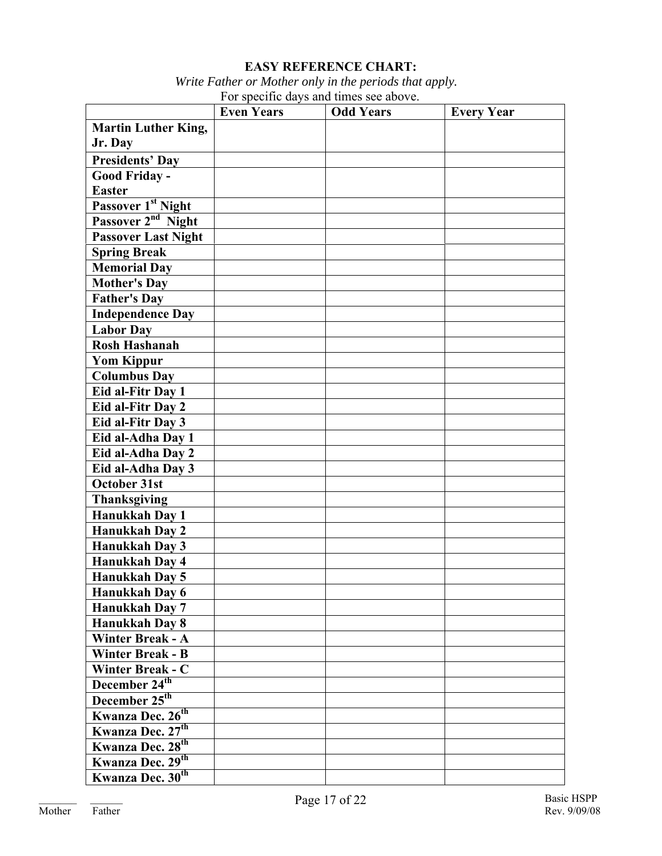### **EASY REFERENCE CHART:**

 *Write Father or Mother only in the periods that apply.* For specific days and times see above.

|                                | <b>Even Years</b> | <b>Odd Years</b> | <b>Every Year</b> |
|--------------------------------|-------------------|------------------|-------------------|
| <b>Martin Luther King,</b>     |                   |                  |                   |
| Jr. Day                        |                   |                  |                   |
| <b>Presidents' Day</b>         |                   |                  |                   |
| Good Friday -                  |                   |                  |                   |
| <b>Easter</b>                  |                   |                  |                   |
| Passover 1 <sup>st</sup> Night |                   |                  |                   |
| Passover 2 <sup>nd</sup> Night |                   |                  |                   |
| <b>Passover Last Night</b>     |                   |                  |                   |
| <b>Spring Break</b>            |                   |                  |                   |
| <b>Memorial Day</b>            |                   |                  |                   |
| <b>Mother's Day</b>            |                   |                  |                   |
| <b>Father's Day</b>            |                   |                  |                   |
| <b>Independence Day</b>        |                   |                  |                   |
| <b>Labor Day</b>               |                   |                  |                   |
| <b>Rosh Hashanah</b>           |                   |                  |                   |
| <b>Yom Kippur</b>              |                   |                  |                   |
| <b>Columbus Day</b>            |                   |                  |                   |
| Eid al-Fitr Day 1              |                   |                  |                   |
| Eid al-Fitr Day 2              |                   |                  |                   |
| Eid al-Fitr Day 3              |                   |                  |                   |
| Eid al-Adha Day 1              |                   |                  |                   |
| Eid al-Adha Day 2              |                   |                  |                   |
| Eid al-Adha Day 3              |                   |                  |                   |
| October 31st                   |                   |                  |                   |
| <b>Thanksgiving</b>            |                   |                  |                   |
| Hanukkah Day 1                 |                   |                  |                   |
| Hanukkah Day 2                 |                   |                  |                   |
| Hanukkah Day 3                 |                   |                  |                   |
| <b>Hanukkah Day 4</b>          |                   |                  |                   |
| <b>Hanukkah Day 5</b>          |                   |                  |                   |
| Hanukkah Day 6                 |                   |                  |                   |
| <b>Hanukkah Day 7</b>          |                   |                  |                   |
| <b>Hanukkah Day 8</b>          |                   |                  |                   |
| <b>Winter Break - A</b>        |                   |                  |                   |
| <b>Winter Break - B</b>        |                   |                  |                   |
| <b>Winter Break - C</b>        |                   |                  |                   |
| December 24 <sup>th</sup>      |                   |                  |                   |
| December 25 <sup>th</sup>      |                   |                  |                   |
| Kwanza Dec. 26 <sup>th</sup>   |                   |                  |                   |
| Kwanza Dec. 27 <sup>th</sup>   |                   |                  |                   |
| Kwanza Dec. 28 <sup>th</sup>   |                   |                  |                   |
| Kwanza Dec. 29 <sup>th</sup>   |                   |                  |                   |
| Kwanza Dec. 30 <sup>th</sup>   |                   |                  |                   |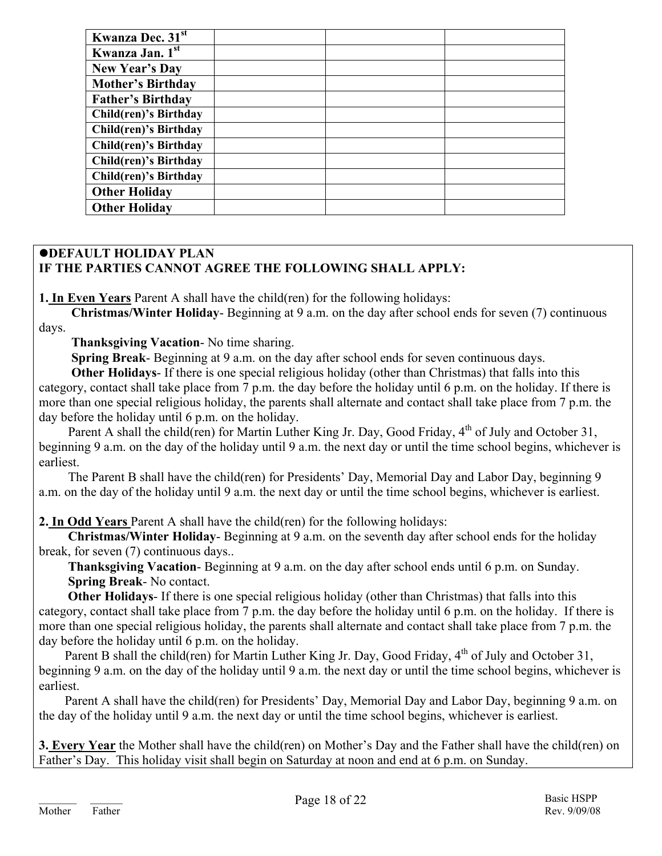| Kwanza Dec. 31 <sup>st</sup> |  |  |
|------------------------------|--|--|
| Kwanza Jan. 1st              |  |  |
| New Year's Day               |  |  |
| <b>Mother's Birthday</b>     |  |  |
| <b>Father's Birthday</b>     |  |  |
| Child(ren)'s Birthday        |  |  |
| Child(ren)'s Birthday        |  |  |
| Child(ren)'s Birthday        |  |  |
| Child(ren)'s Birthday        |  |  |
| Child(ren)'s Birthday        |  |  |
| <b>Other Holiday</b>         |  |  |
| <b>Other Holiday</b>         |  |  |
|                              |  |  |

### $\bullet$ **DEFAULT HOLIDAY PLAN IF THE PARTIES CANNOT AGREE THE FOLLOWING SHALL APPLY:**

**1. In Even Years** Parent A shall have the child(ren) for the following holidays:

 **Christmas/Winter Holiday**- Beginning at 9 a.m. on the day after school ends for seven (7) continuous days.

 **Thanksgiving Vacation**- No time sharing.

 **Spring Break**- Beginning at 9 a.m. on the day after school ends for seven continuous days.

**Other Holidays**- If there is one special religious holiday (other than Christmas) that falls into this category, contact shall take place from 7 p.m. the day before the holiday until 6 p.m. on the holiday. If there is more than one special religious holiday, the parents shall alternate and contact shall take place from 7 p.m. the day before the holiday until 6 p.m. on the holiday.

Parent A shall the child(ren) for Martin Luther King Jr. Day, Good Friday, 4<sup>th</sup> of July and October 31, beginning 9 a.m. on the day of the holiday until 9 a.m. the next day or until the time school begins, whichever is earliest.

 The Parent B shall have the child(ren) for Presidents' Day, Memorial Day and Labor Day, beginning 9 a.m. on the day of the holiday until 9 a.m. the next day or until the time school begins, whichever is earliest.

**2. In Odd Years** Parent A shall have the child(ren) for the following holidays:

 **Christmas/Winter Holiday**- Beginning at 9 a.m. on the seventh day after school ends for the holiday break, for seven (7) continuous days..

 **Thanksgiving Vacation**- Beginning at 9 a.m. on the day after school ends until 6 p.m. on Sunday.  **Spring Break**- No contact.

 **Other Holidays**- If there is one special religious holiday (other than Christmas) that falls into this category, contact shall take place from 7 p.m. the day before the holiday until 6 p.m. on the holiday. If there is more than one special religious holiday, the parents shall alternate and contact shall take place from 7 p.m. the day before the holiday until 6 p.m. on the holiday.

Parent B shall the child(ren) for Martin Luther King Jr. Day, Good Friday, 4<sup>th</sup> of July and October 31, beginning 9 a.m. on the day of the holiday until 9 a.m. the next day or until the time school begins, whichever is earliest.

 Parent A shall have the child(ren) for Presidents' Day, Memorial Day and Labor Day, beginning 9 a.m. on the day of the holiday until 9 a.m. the next day or until the time school begins, whichever is earliest.

**3. Every Year** the Mother shall have the child(ren) on Mother's Day and the Father shall have the child(ren) on Father's Day. This holiday visit shall begin on Saturday at noon and end at 6 p.m. on Sunday.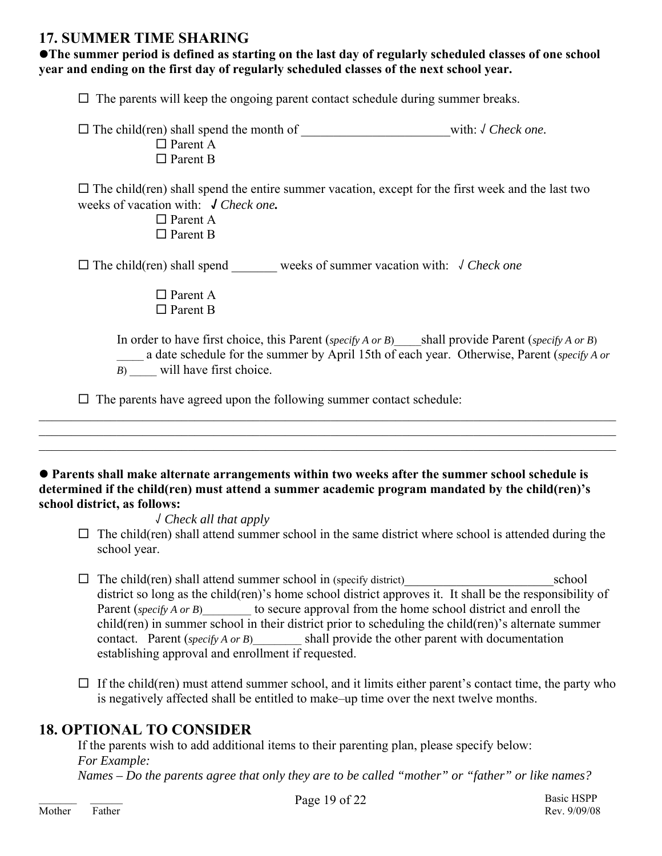## **17. SUMMER TIME SHARING**

**•The summer period is defined as starting on the last day of regularly scheduled classes of one school year and ending on the first day of regularly scheduled classes of the next school year.** 

 $\Box$  The parents will keep the ongoing parent contact schedule during summer breaks.

| $\Box$ The child (ren) shall spend the month of | with: $\sqrt{C}$ Check one. |
|-------------------------------------------------|-----------------------------|
| $\Box$ Parent A                                 |                             |
| $\Box$ Parent B                                 |                             |

 $\Box$  The child(ren) shall spend the entire summer vacation, except for the first week and the last two weeks of vacation with: **√** *Check one.*

> Parent A □ Parent B

The child(ren) shall spend \_\_\_\_\_\_\_ weeks of summer vacation with: √ *Check one*

□ Parent A □ Parent B

In order to have first choice, this Parent (*specify A or B*) \_\_\_\_\_\_\_\_\_shall provide Parent (*specify A or B*) \_\_\_\_\_ a date schedule for the summer by April 15th of each year. Otherwise, Parent (*specify A or* 

*B*) will have first choice.

 $\Box$  The parents have agreed upon the following summer contact schedule:

#### **• Parents shall make alternate arrangements within two weeks after the summer school schedule is determined if the child(ren) must attend a summer academic program mandated by the child(ren)'s school district, as follows:**

 $\_$  , and the contribution of the contribution of the contribution of the contribution of the contribution of  $\mathcal{L}_\text{max}$  $\mathcal{L}_\mathcal{L} = \mathcal{L}_\mathcal{L} = \mathcal{L}_\mathcal{L} = \mathcal{L}_\mathcal{L} = \mathcal{L}_\mathcal{L} = \mathcal{L}_\mathcal{L} = \mathcal{L}_\mathcal{L} = \mathcal{L}_\mathcal{L} = \mathcal{L}_\mathcal{L} = \mathcal{L}_\mathcal{L} = \mathcal{L}_\mathcal{L} = \mathcal{L}_\mathcal{L} = \mathcal{L}_\mathcal{L} = \mathcal{L}_\mathcal{L} = \mathcal{L}_\mathcal{L} = \mathcal{L}_\mathcal{L} = \mathcal{L}_\mathcal{L}$  $\_$  , and the contribution of the contribution of the contribution of the contribution of the contribution of  $\mathcal{L}_\text{max}$ 

√ *Check all that apply*

- $\Box$  The child(ren) shall attend summer school in the same district where school is attended during the school year.
- $\Box$  The child(ren) shall attend summer school in (specify district) school district so long as the child(ren)'s home school district approves it. It shall be the responsibility of Parent (*specify A or B*) to secure approval from the home school district and enroll the child(ren) in summer school in their district prior to scheduling the child(ren)'s alternate summer contact. Parent (*specify A or B*) shall provide the other parent with documentation establishing approval and enrollment if requested.
- $\Box$  If the child(ren) must attend summer school, and it limits either parent's contact time, the party who is negatively affected shall be entitled to make–up time over the next twelve months.

## **18. OPTIONAL TO CONSIDER**

 If the parents wish to add additional items to their parenting plan, please specify below:  *For Example: Names – Do the parents agree that only they are to be called "mother" or "father" or like names?*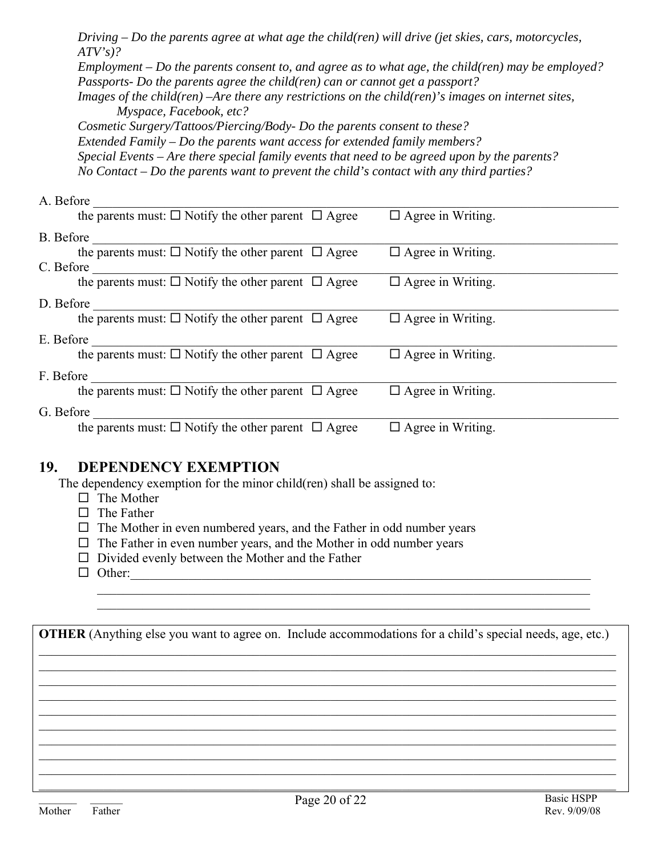*Driving – Do the parents agree at what age the child(ren) will drive (jet skies, cars, motorcycles, ATV's)?* 

 *Employment – Do the parents consent to, and agree as to what age, the child(ren) may be employed? Passports- Do the parents agree the child(ren) can or cannot get a passport?* 

 *Images of the child(ren) –Are there any restrictions on the child(ren)'s images on internet sites, Myspace, Facebook, etc?* 

 *Cosmetic Surgery/Tattoos/Piercing/Body- Do the parents consent to these? Extended Family – Do the parents want access for extended family members? Special Events – Are there special family events that need to be agreed upon by the parents? No Contact – Do the parents want to prevent the child's contact with any third parties?* 

## A. Before the parents must:  $\Box$  Notify the other parent  $\Box$  Agree  $\Box$  Agree in Writing. B. Before the parents must:  $\Box$  Notify the other parent  $\Box$  Agree  $\Box$  Agree in Writing. C. Before the parents must:  $\Box$  Notify the other parent  $\Box$  Agree  $\Box$  Agree in Writing. D. Before the parents must:  $\Box$  Notify the other parent  $\Box$  Agree  $\Box$  Agree in Writing. E. Before the parents must:  $\Box$  Notify the other parent  $\Box$  Agree  $\Box$  Agree in Writing. F. Before the parents must:  $\square$  Notify the other parent  $\square$  Agree  $\square$  Agree in Writing. G. Before  $\frac{1}{\sum_{i=1}^{n} \sum_{j=1}^{n} \sum_{j=1}^{n} \sum_{j=1}^{n} \sum_{j=1}^{n} \sum_{j=1}^{n} \sum_{j=1}^{n} \sum_{j=1}^{n} \sum_{j=1}^{n} \sum_{j=1}^{n} \sum_{j=1}^{n} \sum_{j=1}^{n} \sum_{j=1}^{n} \sum_{j=1}^{n} \sum_{j=1}^{n} \sum_{j=1}^{n} \sum_{j=1}^{n} \sum_{j=1}^{n} \sum_{j=1}^{n} \sum_{j=1}^{n} \sum_{j=$ the parents must:  $\square$  Notify the other parent  $\square$  Agree

## **19. DEPENDENCY EXEMPTION**

The dependency exemption for the minor child(ren) shall be assigned to:

- $\Box$  The Mother
- $\Box$  The Father
- $\Box$  The Mother in even numbered years, and the Father in odd number years
- $\Box$  The Father in even number years, and the Mother in odd number years
- $\Box$  Divided evenly between the Mother and the Father
- $\Box$  Other:

**OTHER** (Anything else you want to agree on. Include accommodations for a child's special needs, age, etc.)  $\_$  , and the contribution of the contribution of the contribution of the contribution of the contribution of  $\mathcal{L}_\text{max}$ 

 $\_$  , and the contribution of the contribution of the contribution of the contribution of the contribution of  $\mathcal{L}_\text{max}$  $\mathcal{L}_\mathcal{L} = \mathcal{L}_\mathcal{L} = \mathcal{L}_\mathcal{L} = \mathcal{L}_\mathcal{L} = \mathcal{L}_\mathcal{L} = \mathcal{L}_\mathcal{L} = \mathcal{L}_\mathcal{L} = \mathcal{L}_\mathcal{L} = \mathcal{L}_\mathcal{L} = \mathcal{L}_\mathcal{L} = \mathcal{L}_\mathcal{L} = \mathcal{L}_\mathcal{L} = \mathcal{L}_\mathcal{L} = \mathcal{L}_\mathcal{L} = \mathcal{L}_\mathcal{L} = \mathcal{L}_\mathcal{L} = \mathcal{L}_\mathcal{L}$  $\_$  , and the contribution of the contribution of the contribution of the contribution of the contribution of  $\mathcal{L}_\text{max}$  $\_$  , and the contribution of the contribution of the contribution of the contribution of the contribution of  $\mathcal{L}_\text{max}$  $\_$  , and the contribution of the contribution of the contribution of the contribution of the contribution of  $\mathcal{L}_\text{max}$  $\_$  , and the contribution of the contribution of the contribution of the contribution of the contribution of  $\mathcal{L}_\text{max}$  $\mathcal{L}_\mathcal{L} = \mathcal{L}_\mathcal{L} = \mathcal{L}_\mathcal{L} = \mathcal{L}_\mathcal{L} = \mathcal{L}_\mathcal{L} = \mathcal{L}_\mathcal{L} = \mathcal{L}_\mathcal{L} = \mathcal{L}_\mathcal{L} = \mathcal{L}_\mathcal{L} = \mathcal{L}_\mathcal{L} = \mathcal{L}_\mathcal{L} = \mathcal{L}_\mathcal{L} = \mathcal{L}_\mathcal{L} = \mathcal{L}_\mathcal{L} = \mathcal{L}_\mathcal{L} = \mathcal{L}_\mathcal{L} = \mathcal{L}_\mathcal{L}$  $\_$  , and the contribution of the contribution of the contribution of the contribution of the contribution of  $\mathcal{L}_\text{max}$ 

 $\mathcal{L}_\text{max}$  , and the set of the set of the set of the set of the set of the set of the set of the set of the set of  $\mathcal{L}_\mathcal{L} = \{ \mathcal{L}_\mathcal{L} = \{ \mathcal{L}_\mathcal{L} = \{ \mathcal{L}_\mathcal{L} = \{ \mathcal{L}_\mathcal{L} = \{ \mathcal{L}_\mathcal{L} = \{ \mathcal{L}_\mathcal{L} = \{ \mathcal{L}_\mathcal{L} = \{ \mathcal{L}_\mathcal{L} = \{ \mathcal{L}_\mathcal{L} = \{ \mathcal{L}_\mathcal{L} = \{ \mathcal{L}_\mathcal{L} = \{ \mathcal{L}_\mathcal{L} = \{ \mathcal{L}_\mathcal{L} = \{ \mathcal{L}_\mathcal{$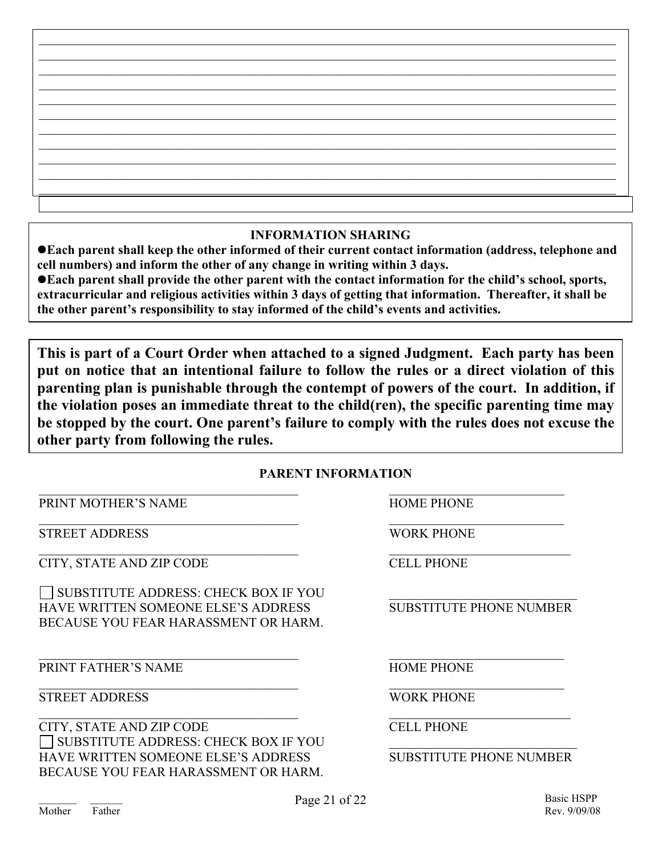### **INFORMATION SHARING**

**• Each parent shall keep the other informed of their current contact information (address, telephone and cell numbers) and inform the other of any change in writing within 3 days.** 

● Each parent shall provide the other parent with the contact information for the child's school, sports, **extracurricular and religious activities within 3 days of getting that information. Thereafter, it shall be the other parent's responsibility to stay informed of the child's events and activities.** 

**This is part of a Court Order when attached to a signed Judgment. Each party has been put on notice that an intentional failure to follow the rules or a direct violation of this parenting plan is punishable through the contempt of powers of the court. In addition, if the violation poses an immediate threat to the child(ren), the specific parenting time may be stopped by the court. One parent's failure to comply with the rules does not excuse the other party from following the rules.** 

### **PARENT INFORMATION**

PRINT MOTHER'S NAME **HOME PHONE** 

STREET ADDRESS WORK PHONE

CITY, STATE AND ZIP CODE CELL PHONE

 $\Box$  SUBSTITUTE ADDRESS: CHECK BOX IF YOU HAVE WRITTEN SOMEONE ELSE'S ADDRESS SUBSTITUTE PHONE NUMBER BECAUSE YOU FEAR HARASSMENT OR HARM.

PRINT FATHER'S NAME HOME PHONE

STREET ADDRESS WORK PHONE

CITY, STATE AND ZIP CODE CELL PHONE SUBSTITUTE ADDRESS: CHECK BOX IF YOU \_\_\_\_\_\_\_\_\_\_\_\_\_\_\_\_\_\_\_\_\_\_\_\_\_\_\_\_\_ HAVE WRITTEN SOMEONE ELSE'S ADDRESS SUBSTITUTE PHONE NUMBER BECAUSE YOU FEAR HARASSMENT OR HARM.

 $\mathcal{L}_\text{max}$  , and the contribution of the contribution of the contribution of the contribution of the contribution of the contribution of the contribution of the contribution of the contribution of the contribution of t

 $\mathcal{L}_\text{max} = \frac{1}{2} \sum_{i=1}^n \mathcal{L}_\text{max}(\mathbf{x}_i - \mathbf{y}_i)$ 

 $\mathcal{L}_\text{max}$  , and the contribution of the contribution of the contribution of the contribution of the contribution of the contribution of the contribution of the contribution of the contribution of the contribution of t

 $\mathcal{L}_\text{max}$  , and the contribution of the contribution of the contribution of the contribution of the contribution of the contribution of the contribution of the contribution of the contribution of the contribution of t

 $\mathcal{L}_\text{max}$  , and the contribution of the contribution of the contribution of the contribution of the contribution of the contribution of the contribution of the contribution of the contribution of the contribution of t

 $\mathcal{L}_\text{max}$  , and the contribution of the contribution of the contribution of the contribution of the contribution of the contribution of the contribution of the contribution of the contribution of the contribution of t